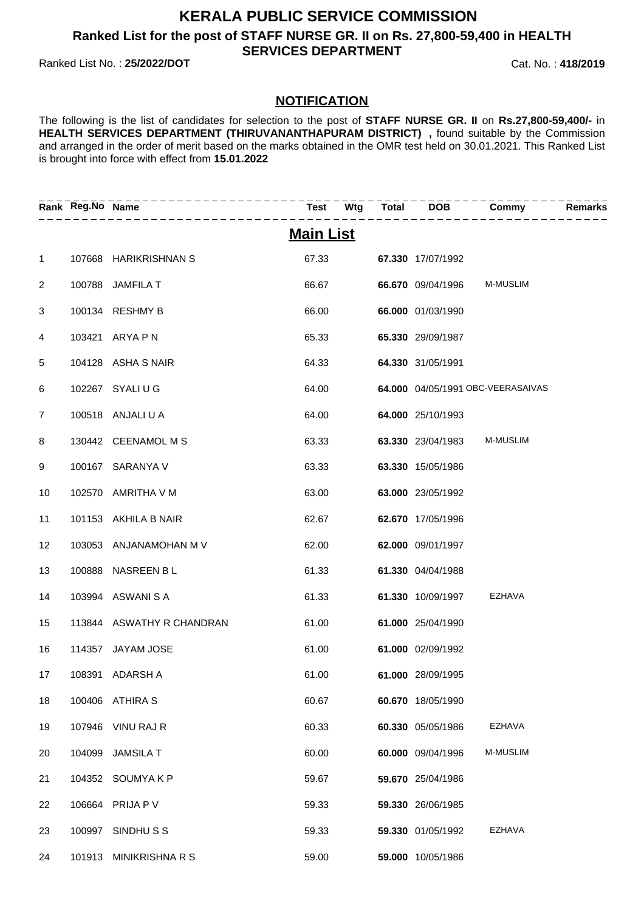### **KERALA PUBLIC SERVICE COMMISSION Ranked List for the post of STAFF NURSE GR. II on Rs. 27,800-59,400 in HEALTH SERVICES DEPARTMENT**

Ranked List No. : **25/2022/DOT** Cat. No. : **418/2019**

#### **NOTIFICATION**

The following is the list of candidates for selection to the post of **STAFF NURSE GR. II** on **Rs.27,800-59,400/-** in HEALTH SERVICES DEPARTMENT (THIRUVANANTHAPURAM DISTRICT), found suitable by the Commission and arranged in the order of merit based on the marks obtained in the OMR test held on 30.01.2021. This Ranked List is brought into force with effect from **15.01.2022**

|                 | Rank Reg.No Name |                           | $Test$ $Wtg$ $Total$ | $\overline{DOB}$  | <b>Commy</b>                      | Remarks |
|-----------------|------------------|---------------------------|----------------------|-------------------|-----------------------------------|---------|
|                 |                  |                           | <b>Main List</b>     |                   |                                   |         |
| $\mathbf{1}$    |                  | 107668 HARIKRISHNAN S     | 67.33                | 67.330 17/07/1992 |                                   |         |
| $\overline{2}$  |                  | 100788 JAMFILA T          | 66.67                | 66.670 09/04/1996 | <b>M-MUSLIM</b>                   |         |
| 3               |                  | 100134 RESHMY B           | 66.00                | 66.000 01/03/1990 |                                   |         |
| 4               |                  | 103421 ARYA P N           | 65.33                | 65.330 29/09/1987 |                                   |         |
| 5               |                  | 104128 ASHA S NAIR        | 64.33                | 64.330 31/05/1991 |                                   |         |
| 6               |                  | 102267 SYALI U G          | 64.00                |                   | 64.000 04/05/1991 OBC-VEERASAIVAS |         |
| $\overline{7}$  |                  | 100518 ANJALI U A         | 64.00                | 64.000 25/10/1993 |                                   |         |
| 8               |                  | 130442 CEENAMOL M S       | 63.33                | 63.330 23/04/1983 | <b>M-MUSLIM</b>                   |         |
| 9               |                  | 100167 SARANYA V          | 63.33                | 63.330 15/05/1986 |                                   |         |
| 10 <sup>°</sup> |                  | 102570 AMRITHA V M        | 63.00                | 63.000 23/05/1992 |                                   |         |
| 11              |                  | 101153 AKHILA B NAIR      | 62.67                | 62.670 17/05/1996 |                                   |         |
| 12              |                  | 103053 ANJANAMOHAN M V    | 62.00                | 62.000 09/01/1997 |                                   |         |
| 13              |                  | 100888 NASREEN BL         | 61.33                | 61.330 04/04/1988 |                                   |         |
| 14              |                  | 103994 ASWANISA           | 61.33                | 61.330 10/09/1997 | EZHAVA                            |         |
| 15              |                  | 113844 ASWATHY R CHANDRAN | 61.00                | 61.000 25/04/1990 |                                   |         |
| 16              |                  | 114357 JAYAM JOSE         | 61.00                | 61.000 02/09/1992 |                                   |         |
| 17              |                  | 108391 ADARSH A           | 61.00                | 61.000 28/09/1995 |                                   |         |
| 18              |                  | 100406 ATHIRA S           | 60.67                | 60.670 18/05/1990 |                                   |         |
| 19              |                  | 107946 VINU RAJ R         | 60.33                | 60.330 05/05/1986 | <b>EZHAVA</b>                     |         |
| 20              | 104099           | <b>JAMSILA T</b>          | 60.00                | 60.000 09/04/1996 | <b>M-MUSLIM</b>                   |         |
| 21              |                  | 104352 SOUMYAKP           | 59.67                | 59.670 25/04/1986 |                                   |         |
| 22              | 106664           | PRIJA P V                 | 59.33                | 59.330 26/06/1985 |                                   |         |
| 23              |                  | 100997 SINDHUSS           | 59.33                | 59.330 01/05/1992 | <b>EZHAVA</b>                     |         |
| 24              |                  | 101913 MINIKRISHNARS      | 59.00                | 59.000 10/05/1986 |                                   |         |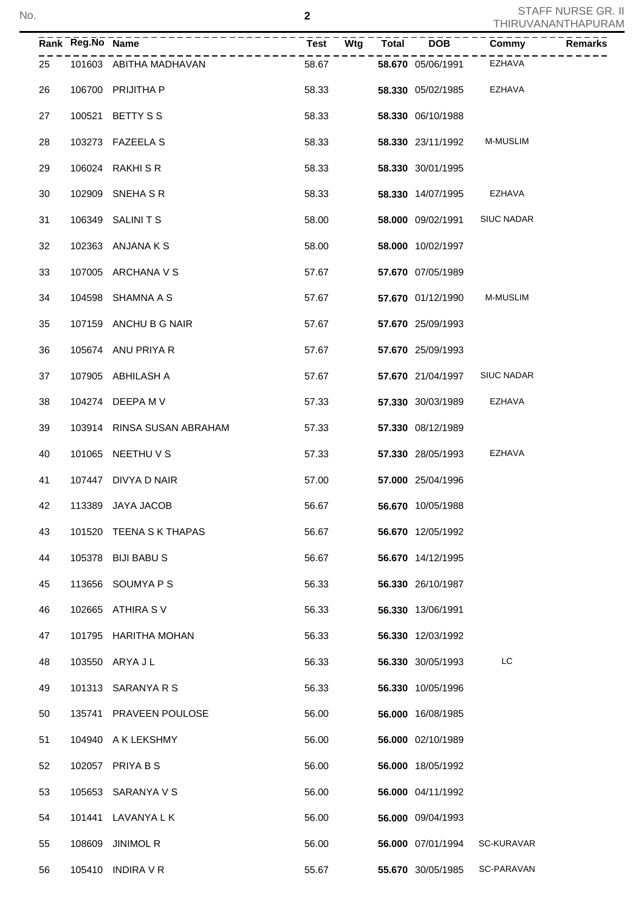|    | Rank Reg.No Name |                            |       | - - - - - -              | $\overline{\text{Commy}}$ | <b>Remarks</b> |
|----|------------------|----------------------------|-------|--------------------------|---------------------------|----------------|
| 25 |                  | 101603 ABITHA MADHAVAN     | 58.67 | <b>58.670</b> 05/06/1991 | EZHAVA                    |                |
| 26 |                  | 106700 PRIJITHA P          | 58.33 | 58.330 05/02/1985 EZHAVA |                           |                |
| 27 |                  | 100521 BETTY S S           | 58.33 | 58.330 06/10/1988        |                           |                |
| 28 |                  | 103273 FAZEELA S           | 58.33 | 58.330 23/11/1992        | <b>M-MUSLIM</b>           |                |
| 29 |                  | 106024 RAKHI S R           | 58.33 | 58.330 30/01/1995        |                           |                |
| 30 |                  | 102909 SNEHA S R           | 58.33 | 58.330 14/07/1995        | EZHAVA                    |                |
| 31 |                  | 106349 SALINITS            | 58.00 | 58.000 09/02/1991        | <b>SIUC NADAR</b>         |                |
| 32 |                  | 102363 ANJANAKS            | 58.00 | 58.000 10/02/1997        |                           |                |
| 33 |                  | 107005 ARCHANA V S         | 57.67 | 57.670 07/05/1989        |                           |                |
| 34 |                  | 104598 SHAMNA A S          | 57.67 | 57.670 01/12/1990        | M-MUSLIM                  |                |
| 35 |                  | 107159 ANCHU B G NAIR      | 57.67 | 57.670 25/09/1993        |                           |                |
| 36 |                  | 105674 ANU PRIYA R         | 57.67 | 57.670 25/09/1993        |                           |                |
| 37 |                  | 107905 ABHILASH A          | 57.67 | 57.670 21/04/1997        | <b>SIUC NADAR</b>         |                |
| 38 |                  | 104274 DEEPA M V           | 57.33 | 57.330 30/03/1989 EZHAVA |                           |                |
| 39 |                  | 103914 RINSA SUSAN ABRAHAM | 57.33 | 57.330 08/12/1989        |                           |                |
| 40 |                  | 101065 NEETHU V S          | 57.33 | 57.330 28/05/1993        | EZHAVA                    |                |
| 41 |                  | 107447 DIVYA D NAIR        | 57.00 | 57.000 25/04/1996        |                           |                |
| 42 |                  | 113389 JAYA JACOB          | 56.67 | 56.670 10/05/1988        |                           |                |
| 43 |                  | 101520 TEENA S K THAPAS    | 56.67 | 56.670 12/05/1992        |                           |                |
| 44 |                  | 105378 BIJI BABU S         | 56.67 | 56.670 14/12/1995        |                           |                |
| 45 |                  | 113656 SOUMYA P S          | 56.33 | 56.330 26/10/1987        |                           |                |
| 46 |                  | 102665 ATHIRA S V          | 56.33 | 56.330 13/06/1991        |                           |                |
| 47 |                  | 101795 HARITHA MOHAN       | 56.33 | 56.330 12/03/1992        |                           |                |
| 48 |                  | 103550 ARYA J L            | 56.33 | 56.330 30/05/1993        | LC                        |                |
| 49 |                  | 101313 SARANYA R S         | 56.33 | 56.330 10/05/1996        |                           |                |
| 50 |                  | 135741 PRAVEEN POULOSE     | 56.00 | 56.000 16/08/1985        |                           |                |
| 51 |                  | 104940 A K LEKSHMY         | 56.00 | 56.000 02/10/1989        |                           |                |
| 52 |                  | 102057 PRIYA B S           | 56.00 | 56.000 18/05/1992        |                           |                |
| 53 |                  | 105653 SARANYA V S         | 56.00 | 56.000 04/11/1992        |                           |                |
| 54 |                  | 101441 LAVANYA L K         | 56.00 | 56.000 09/04/1993        |                           |                |
| 55 |                  | 108609 JINIMOL R           | 56.00 | 56.000 07/01/1994        | SC-KURAVAR                |                |
| 56 |                  | 105410 INDIRA V R          | 55.67 | 55.670 30/05/1985        | SC-PARAVAN                |                |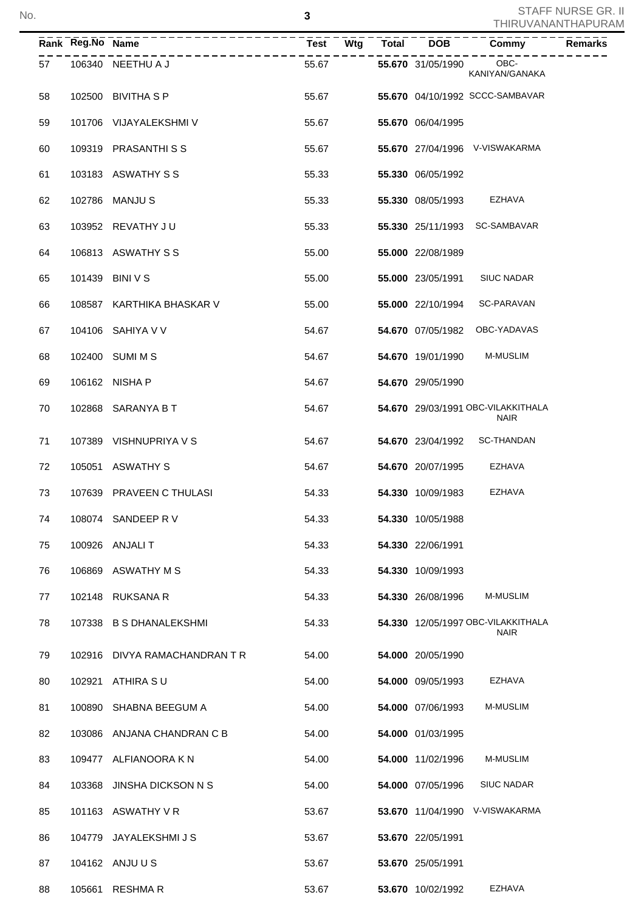|    | Rank Reg.No Name |                               |       |  |                          | Commy                                             | <b>Remarks</b> |
|----|------------------|-------------------------------|-------|--|--------------------------|---------------------------------------------------|----------------|
| 57 |                  | 106340 NEETHU A J             | 55.67 |  | 55.670 31/05/1990        | OBC-<br>KANIYAN/GANAKA                            |                |
| 58 |                  | 102500 BIVITHA S P            | 55.67 |  |                          | 55.670 04/10/1992 SCCC-SAMBAVAR                   |                |
| 59 |                  | 101706 VIJAYALEKSHMI V        | 55.67 |  | 55.670 06/04/1995        |                                                   |                |
| 60 |                  | 109319 PRASANTHISS            | 55.67 |  |                          | 55.670 27/04/1996 V-VISWAKARMA                    |                |
| 61 |                  | 103183 ASWATHY S S            | 55.33 |  | 55.330 06/05/1992        |                                                   |                |
| 62 |                  | 102786 MANJU S                | 55.33 |  | <b>55.330 08/05/1993</b> | EZHAVA                                            |                |
| 63 |                  | 103952 REVATHY JU             | 55.33 |  |                          | 55.330 25/11/1993 SC-SAMBAVAR                     |                |
| 64 |                  | 106813 ASWATHY S S            | 55.00 |  | 55.000 22/08/1989        |                                                   |                |
| 65 |                  | 101439 BINI V S               | 55.00 |  | 55.000 23/05/1991        | <b>SIUC NADAR</b>                                 |                |
| 66 |                  | 108587 KARTHIKA BHASKAR V     | 55.00 |  | 55.000 22/10/1994        | SC-PARAVAN                                        |                |
| 67 |                  | 104106 SAHIYA V V             | 54.67 |  | 54.670 07/05/1982        | OBC-YADAVAS                                       |                |
| 68 |                  | 102400 SUMI M S               | 54.67 |  | 54.670 19/01/1990        | <b>M-MUSLIM</b>                                   |                |
| 69 |                  | 106162 NISHA P                | 54.67 |  | 54.670 29/05/1990        |                                                   |                |
| 70 |                  | 102868 SARANYA B T            | 54.67 |  |                          | 54.670 29/03/1991 OBC-VILAKKITHALA<br><b>NAIR</b> |                |
| 71 |                  | 107389 VISHNUPRIYA V S        | 54.67 |  |                          | 54.670 23/04/1992 SC-THANDAN                      |                |
| 72 |                  | 105051 ASWATHY S              | 54.67 |  | 54.670 20/07/1995        | EZHAVA                                            |                |
| 73 |                  | 107639 PRAVEEN C THULASI      | 54.33 |  | 54.330 10/09/1983        | EZHAVA                                            |                |
| 74 |                  | 108074 SANDEEP R V            | 54.33 |  | 54.330 10/05/1988        |                                                   |                |
| 75 |                  | 100926 ANJALI T               | 54.33 |  | 54.330 22/06/1991        |                                                   |                |
| 76 |                  | 106869 ASWATHY M S            | 54.33 |  | 54.330 10/09/1993        |                                                   |                |
| 77 |                  | 102148 RUKSANA R              | 54.33 |  | 54.330 26/08/1996        | <b>M-MUSLIM</b>                                   |                |
| 78 |                  | 107338 B S DHANALEKSHMI       | 54.33 |  |                          | 54.330 12/05/1997 OBC-VILAKKITHALA<br><b>NAIR</b> |                |
| 79 |                  | 102916 DIVYA RAMACHANDRAN T R | 54.00 |  | 54.000 20/05/1990        |                                                   |                |
| 80 | 102921           | ATHIRA SU                     | 54.00 |  | 54.000 09/05/1993        | EZHAVA                                            |                |
| 81 | 100890           | SHABNA BEEGUM A               | 54.00 |  | 54.000 07/06/1993        | <b>M-MUSLIM</b>                                   |                |
| 82 | 103086           | ANJANA CHANDRAN C B           | 54.00 |  | 54.000 01/03/1995        |                                                   |                |
| 83 |                  | 109477 ALFIANOORA K N         | 54.00 |  | 54.000 11/02/1996        | M-MUSLIM                                          |                |
| 84 | 103368           | <b>JINSHA DICKSON N S</b>     | 54.00 |  | 54.000 07/05/1996        | <b>SIUC NADAR</b>                                 |                |
| 85 |                  | 101163 ASWATHY V R            | 53.67 |  |                          | 53.670 11/04/1990 V-VISWAKARMA                    |                |
| 86 | 104779           | JAYALEKSHMI J S               | 53.67 |  | 53.670 22/05/1991        |                                                   |                |
| 87 |                  | 104162 ANJU U S               | 53.67 |  | 53.670 25/05/1991        |                                                   |                |
| 88 |                  | 105661 RESHMAR                | 53.67 |  | 53.670 10/02/1992        | EZHAVA                                            |                |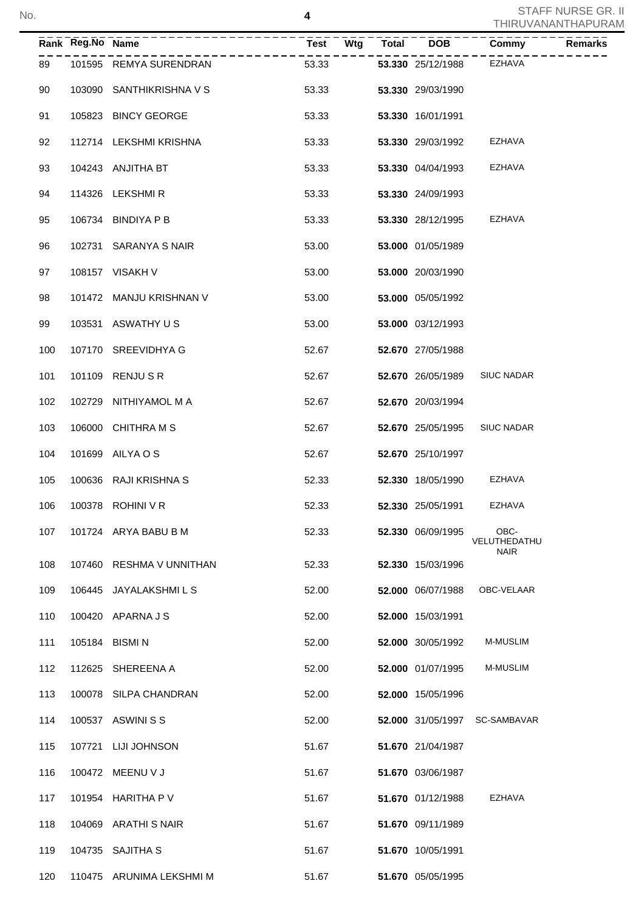| Rank Reg.No Name | _____________            | <b>Test</b><br>Wtg | Total | <b>DOB</b>               | <b>Commy</b>                        | <b>Remarks</b> |
|------------------|--------------------------|--------------------|-------|--------------------------|-------------------------------------|----------------|
| 89               | 101595 REMYA SURENDRAN   | 53.33              |       | 53.330 25/12/1988        | EZHAVA                              |                |
| 90               | 103090 SANTHIKRISHNA V S | 53.33              |       | 53.330 29/03/1990        |                                     |                |
| 91               | 105823 BINCY GEORGE      | 53.33              |       | 53.330 16/01/1991        |                                     |                |
| 92               | 112714 LEKSHMI KRISHNA   | 53.33              |       | 53.330 29/03/1992        | EZHAVA                              |                |
| 93               | 104243 ANJITHA BT        | 53.33              |       | <b>53.330</b> 04/04/1993 | <b>EZHAVA</b>                       |                |
| 94               | 114326 LEKSHMIR          | 53.33              |       | 53.330 24/09/1993        |                                     |                |
| 95               | 106734 BINDIYA P B       | 53.33              |       | 53.330 28/12/1995        | EZHAVA                              |                |
| 96               | 102731 SARANYA S NAIR    | 53.00              |       | 53.000 01/05/1989        |                                     |                |
| 97               | 108157 VISAKH V          | 53.00              |       | 53.000 20/03/1990        |                                     |                |
| 98               | 101472 MANJU KRISHNAN V  | 53.00              |       | 53.000 05/05/1992        |                                     |                |
| 99               | 103531 ASWATHY US        | 53.00              |       | 53.000 03/12/1993        |                                     |                |
| 100              | 107170 SREEVIDHYA G      | 52.67              |       | 52.670 27/05/1988        |                                     |                |
| 101              | 101109 RENJU S R         | 52.67              |       | 52.670 26/05/1989        | <b>SIUC NADAR</b>                   |                |
| 102              | 102729 NITHIYAMOL M A    | 52.67              |       | 52.670 20/03/1994        |                                     |                |
| 103              | 106000 CHITHRA M S       | 52.67              |       | 52.670 25/05/1995        | <b>SIUC NADAR</b>                   |                |
| 104              | 101699 AILYA O S         | 52.67              |       | 52.670 25/10/1997        |                                     |                |
| 105              | 100636 RAJI KRISHNA S    | 52.33              |       | 52.330 18/05/1990        | EZHAVA                              |                |
| 106              | 100378 ROHINI V R        | 52.33              |       | <b>52.330</b> 25/05/1991 | EZHAVA                              |                |
| 107              | 101724 ARYA BABU B M     | 52.33              |       | 52.330 06/09/1995        | OBC-<br>VELUTHEDATHU<br><b>NAIR</b> |                |
| 108              | 107460 RESHMA V UNNITHAN | 52.33              |       | 52.330 15/03/1996        |                                     |                |
| 109              | 106445 JAYALAKSHMILS     | 52.00              |       | 52.000 06/07/1988        | OBC-VELAAR                          |                |
| 110              | 100420 APARNA J S        | 52.00              |       | 52.000 15/03/1991        |                                     |                |
| 111              | 105184 BISMIN            | 52.00              |       | 52.000 30/05/1992        | <b>M-MUSLIM</b>                     |                |
| 112              | 112625 SHEREENA A        | 52.00              |       | 52.000 01/07/1995        | M-MUSLIM                            |                |
| 113              | 100078 SILPA CHANDRAN    | 52.00              |       | 52.000 15/05/1996        |                                     |                |
| 114              | 100537 ASWINI S S        | 52.00              |       | 52.000 31/05/1997        | SC-SAMBAVAR                         |                |
| 115              | 107721 LIJI JOHNSON      | 51.67              |       | 51.670 21/04/1987        |                                     |                |
| 116              | 100472 MEENU V J         | 51.67              |       | 51.670 03/06/1987        |                                     |                |
| 117              | 101954 HARITHA P V       | 51.67              |       | 51.670 01/12/1988        | <b>EZHAVA</b>                       |                |
| 118              | 104069 ARATHI S NAIR     | 51.67              |       | 51.670 09/11/1989        |                                     |                |
| 119              | 104735 SAJITHA S         | 51.67              |       | 51.670 10/05/1991        |                                     |                |
| 120              | 110475 ARUNIMA LEKSHMI M | 51.67              |       | 51.670 05/05/1995        |                                     |                |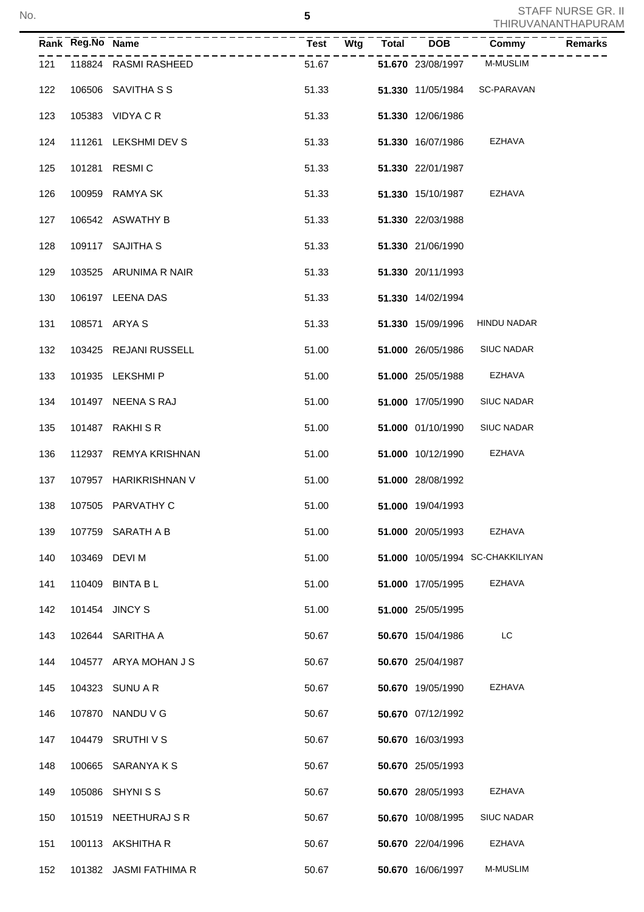|     | Rank Reg.No Name | ------------           | $\overline{Test}$ $\overline{Test}$ $\overline{Wtg}$ | Total | $\overline{DOB}$         | Commy                            | <b>Remarks</b> |
|-----|------------------|------------------------|------------------------------------------------------|-------|--------------------------|----------------------------------|----------------|
| 121 |                  | 118824 RASMI RASHEED   | 51.67                                                |       |                          | 51.670 23/08/1997 M-MUSLIM       |                |
| 122 |                  | 106506 SAVITHA S S     | 51.33                                                |       |                          | 51.330 11/05/1984 SC-PARAVAN     |                |
| 123 |                  | 105383 VIDYA C R       | 51.33                                                |       | 51.330 12/06/1986        |                                  |                |
| 124 |                  | 111261 LEKSHMI DEV S   | 51.33                                                |       | 51.330 16/07/1986        | EZHAVA                           |                |
| 125 |                  | 101281 RESMIC          | 51.33                                                |       | 51.330 22/01/1987        |                                  |                |
| 126 |                  | 100959 RAMYA SK        | 51.33                                                |       | <b>51.330</b> 15/10/1987 | EZHAVA                           |                |
| 127 |                  | 106542 ASWATHY B       | 51.33                                                |       | 51.330 22/03/1988        |                                  |                |
| 128 |                  | 109117 SAJITHA S       | 51.33                                                |       | 51.330 21/06/1990        |                                  |                |
| 129 |                  | 103525 ARUNIMA R NAIR  | 51.33                                                |       | 51.330 20/11/1993        |                                  |                |
| 130 |                  | 106197 LEENA DAS       | 51.33                                                |       | 51.330 14/02/1994        |                                  |                |
| 131 |                  | 108571 ARYA S          | 51.33                                                |       | 51.330 15/09/1996        | HINDU NADAR                      |                |
| 132 |                  | 103425 REJANI RUSSELL  | 51.00                                                |       | <b>51.000</b> 26/05/1986 | <b>SIUC NADAR</b>                |                |
| 133 |                  | 101935 LEKSHMIP        | 51.00                                                |       | <b>51.000 25/05/1988</b> | EZHAVA                           |                |
| 134 |                  | 101497 NEENA S RAJ     | 51.00                                                |       | 51.000 17/05/1990        | <b>SIUC NADAR</b>                |                |
| 135 |                  | 101487 RAKHI S R       | 51.00                                                |       | 51.000 01/10/1990        | <b>SIUC NADAR</b>                |                |
| 136 |                  | 112937 REMYA KRISHNAN  | 51.00                                                |       | 51.000 10/12/1990        | EZHAVA                           |                |
| 137 |                  | 107957 HARIKRISHNAN V  | 51.00                                                |       | 51.000 28/08/1992        |                                  |                |
| 138 |                  | 107505 PARVATHY C      | 51.00                                                |       | 51.000 19/04/1993        |                                  |                |
| 139 |                  | 107759 SARATH A B      | 51.00                                                |       | 51.000 20/05/1993        | EZHAVA                           |                |
| 140 |                  | 103469 DEVI M          | 51.00                                                |       |                          | 51.000 10/05/1994 SC-CHAKKILIYAN |                |
| 141 |                  | 110409 BINTA B L       | 51.00                                                |       | 51.000 17/05/1995        | EZHAVA                           |                |
| 142 |                  | 101454 JINCY S         | 51.00                                                |       | 51.000 25/05/1995        |                                  |                |
| 143 |                  | 102644 SARITHA A       | 50.67                                                |       | 50.670 15/04/1986        | LC                               |                |
| 144 |                  | 104577 ARYA MOHAN J S  | 50.67                                                |       | 50.670 25/04/1987        |                                  |                |
| 145 |                  | 104323 SUNU A R        | 50.67                                                |       | 50.670 19/05/1990        | EZHAVA                           |                |
| 146 |                  | 107870 NANDU V G       | 50.67                                                |       | 50.670 07/12/1992        |                                  |                |
| 147 |                  | 104479 SRUTHIVS        | 50.67                                                |       | 50.670 16/03/1993        |                                  |                |
| 148 |                  | 100665 SARANYA K S     | 50.67                                                |       | 50.670 25/05/1993        |                                  |                |
| 149 |                  | 105086 SHYNISS         | 50.67                                                |       | 50.670 28/05/1993        | EZHAVA                           |                |
| 150 |                  | 101519 NEETHURAJ SR    | 50.67                                                |       | 50.670 10/08/1995        | <b>SIUC NADAR</b>                |                |
| 151 |                  | 100113 AKSHITHA R      | 50.67                                                |       | 50.670 22/04/1996        | EZHAVA                           |                |
| 152 |                  | 101382 JASMI FATHIMA R | 50.67                                                |       | 50.670 16/06/1997        | M-MUSLIM                         |                |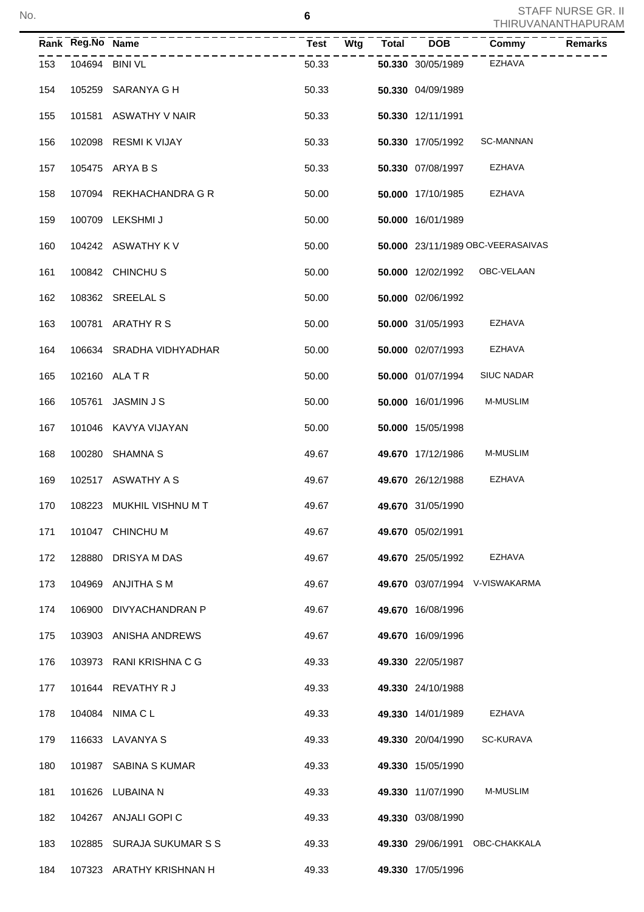|     | Rank Reg.No Name |                           |       |  |                          | $\overline{\text{Commy}}$         | Remarks |
|-----|------------------|---------------------------|-------|--|--------------------------|-----------------------------------|---------|
| 153 |                  | 104694 BINI VL            | 50.33 |  | 50.330 30/05/1989        | EZHAVA                            |         |
| 154 |                  | 105259 SARANYA G H        | 50.33 |  | 50.330 04/09/1989        |                                   |         |
| 155 |                  | 101581 ASWATHY V NAIR     | 50.33 |  | 50.330 12/11/1991        |                                   |         |
| 156 |                  | 102098 RESMI K VIJAY      | 50.33 |  | 50.330 17/05/1992        | <b>SC-MANNAN</b>                  |         |
| 157 |                  | 105475 ARYA B S           | 50.33 |  | <b>50.330</b> 07/08/1997 | EZHAVA                            |         |
| 158 |                  | 107094 REKHACHANDRA G R   | 50.00 |  | 50.000 17/10/1985        | EZHAVA                            |         |
| 159 |                  | 100709 LEKSHMI J          | 50.00 |  | 50.000 16/01/1989        |                                   |         |
| 160 |                  | 104242 ASWATHY K V        | 50.00 |  |                          | 50.000 23/11/1989 OBC-VEERASAIVAS |         |
| 161 |                  | 100842 CHINCHUS           | 50.00 |  |                          | 50.000 12/02/1992 OBC-VELAAN      |         |
| 162 |                  | 108362 SREELAL S          | 50.00 |  | 50.000 02/06/1992        |                                   |         |
| 163 |                  | 100781 ARATHY R S         | 50.00 |  | 50.000 31/05/1993        | EZHAVA                            |         |
| 164 |                  | 106634 SRADHA VIDHYADHAR  | 50.00 |  | 50.000 02/07/1993        | EZHAVA                            |         |
| 165 |                  | 102160 ALA T R            | 50.00 |  | 50.000 01/07/1994        | <b>SIUC NADAR</b>                 |         |
| 166 |                  | 105761 JASMIN J S         | 50.00 |  | 50.000 16/01/1996        | <b>M-MUSLIM</b>                   |         |
| 167 |                  | 101046 KAVYA VIJAYAN      | 50.00 |  | 50.000 15/05/1998        |                                   |         |
| 168 |                  | 100280 SHAMNA S           | 49.67 |  | 49.670 17/12/1986        | <b>M-MUSLIM</b>                   |         |
| 169 |                  | 102517 ASWATHY A S        | 49.67 |  | 49.670 26/12/1988        | EZHAVA                            |         |
| 170 |                  | 108223 MUKHIL VISHNU M T  | 49.67 |  | 49.670 31/05/1990        |                                   |         |
| 171 |                  | 101047 CHINCHU M          | 49.67 |  | 49.670 05/02/1991        |                                   |         |
| 172 |                  | 128880 DRISYA M DAS       | 49.67 |  | 49.670 25/05/1992        | EZHAVA                            |         |
| 173 |                  | 104969 ANJITHA S M        | 49.67 |  |                          | 49.670 03/07/1994 V-VISWAKARMA    |         |
| 174 |                  | 106900 DIVYACHANDRAN P    | 49.67 |  | 49.670 16/08/1996        |                                   |         |
| 175 |                  | 103903 ANISHA ANDREWS     | 49.67 |  | 49.670 16/09/1996        |                                   |         |
| 176 |                  | 103973 RANI KRISHNA C G   | 49.33 |  | 49.330 22/05/1987        |                                   |         |
| 177 |                  | 101644 REVATHY R J        | 49.33 |  | 49.330 24/10/1988        |                                   |         |
| 178 |                  | 104084 NIMA C L           | 49.33 |  | 49.330 14/01/1989        | EZHAVA                            |         |
| 179 |                  | 116633 LAVANYA S          | 49.33 |  | 49.330 20/04/1990        | SC-KURAVA                         |         |
| 180 |                  | 101987 SABINA S KUMAR     | 49.33 |  | 49.330 15/05/1990        |                                   |         |
| 181 |                  | 101626 LUBAINA N          | 49.33 |  | 49.330 11/07/1990        | <b>M-MUSLIM</b>                   |         |
| 182 |                  | 104267 ANJALI GOPI C      | 49.33 |  | 49.330 03/08/1990        |                                   |         |
| 183 |                  | 102885 SURAJA SUKUMAR S S | 49.33 |  | 49.330 29/06/1991        | OBC-CHAKKALA                      |         |
| 184 |                  | 107323 ARATHY KRISHNAN H  | 49.33 |  | 49.330 17/05/1996        |                                   |         |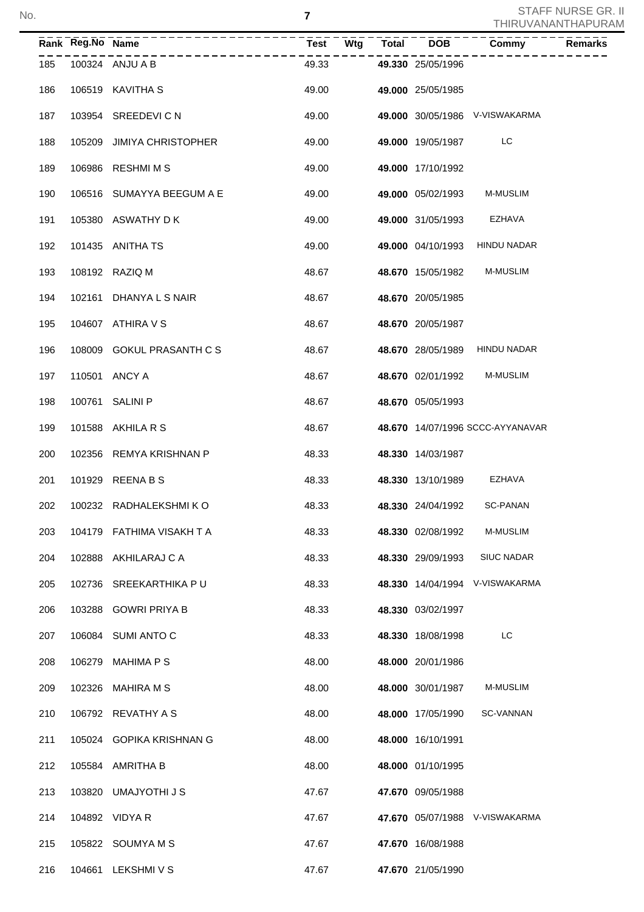|     | Rank Reg.No Name | -----------------         | $\overline{\text{Test}}$ $\overline{\text{Wtg}}$ $\overline{\text{V}}$ | Total | $\overline{DOB}$         | Commy                            | <b>Remarks</b> |
|-----|------------------|---------------------------|------------------------------------------------------------------------|-------|--------------------------|----------------------------------|----------------|
| 185 |                  | 100324 ANJU A B           | 49.33                                                                  |       | 49.330 25/05/1996        |                                  |                |
| 186 |                  | 106519 KAVITHA S          | 49.00                                                                  |       | 49.000 25/05/1985        |                                  |                |
| 187 |                  | 103954 SREEDEVICN         | 49.00                                                                  |       |                          | 49.000 30/05/1986 V-VISWAKARMA   |                |
| 188 |                  | 105209 JIMIYA CHRISTOPHER | 49.00                                                                  |       | 49.000 19/05/1987        | LC                               |                |
| 189 |                  | 106986 RESHMIMS           | 49.00                                                                  |       | 49.000 17/10/1992        |                                  |                |
| 190 |                  | 106516 SUMAYYA BEEGUM A E | 49.00                                                                  |       | 49.000 05/02/1993        | <b>M-MUSLIM</b>                  |                |
| 191 |                  | 105380 ASWATHY DK         | 49.00                                                                  |       | <b>49.000</b> 31/05/1993 | EZHAVA                           |                |
| 192 |                  | 101435 ANITHA TS          | 49.00                                                                  |       | 49.000 04/10/1993        | <b>HINDU NADAR</b>               |                |
| 193 |                  | 108192 RAZIQ M            | 48.67                                                                  |       | 48.670 15/05/1982        | <b>M-MUSLIM</b>                  |                |
| 194 |                  | 102161 DHANYA L S NAIR    | 48.67                                                                  |       | 48.670 20/05/1985        |                                  |                |
| 195 |                  | 104607 ATHIRA V S         | 48.67                                                                  |       | 48.670 20/05/1987        |                                  |                |
| 196 |                  | 108009 GOKUL PRASANTH C S | 48.67                                                                  |       | 48.670 28/05/1989        | HINDU NADAR                      |                |
| 197 |                  | 110501 ANCY A             | 48.67                                                                  |       | 48.670 02/01/1992        | M-MUSLIM                         |                |
| 198 |                  | 100761 SALINI P           | 48.67                                                                  |       | 48.670 05/05/1993        |                                  |                |
| 199 |                  | 101588 AKHILA R S         | 48.67                                                                  |       |                          | 48.670 14/07/1996 SCCC-AYYANAVAR |                |
| 200 |                  | 102356 REMYA KRISHNAN P   | 48.33                                                                  |       | 48.330 14/03/1987        |                                  |                |
| 201 |                  | 101929 REENA B S          | 48.33                                                                  |       | 48.330 13/10/1989        | <b>EZHAVA</b>                    |                |
| 202 |                  | 100232 RADHALEKSHMIKO     | 48.33                                                                  |       | 48.330 24/04/1992        | <b>SC-PANAN</b>                  |                |
| 203 |                  | 104179 FATHIMA VISAKH T A | 48.33                                                                  |       | 48.330 02/08/1992        | M-MUSLIM                         |                |
| 204 |                  | 102888 AKHILARAJ CA       | 48.33                                                                  |       | 48.330 29/09/1993        | <b>SIUC NADAR</b>                |                |
| 205 |                  | 102736 SREEKARTHIKA PU    | 48.33                                                                  |       |                          | 48.330 14/04/1994 V-VISWAKARMA   |                |
| 206 |                  | 103288 GOWRI PRIYA B      | 48.33                                                                  |       | 48.330 03/02/1997        |                                  |                |
| 207 |                  | 106084 SUMI ANTO C        | 48.33                                                                  |       | 48.330 18/08/1998        | LC                               |                |
| 208 |                  | 106279 MAHIMA P S         | 48.00                                                                  |       | 48.000 20/01/1986        |                                  |                |
| 209 |                  | 102326 MAHIRA M S         | 48.00                                                                  |       | 48.000 30/01/1987        | M-MUSLIM                         |                |
| 210 |                  | 106792 REVATHY A S        | 48.00                                                                  |       | 48.000 17/05/1990        | SC-VANNAN                        |                |
| 211 |                  | 105024 GOPIKA KRISHNAN G  | 48.00                                                                  |       | 48.000 16/10/1991        |                                  |                |
| 212 |                  | 105584 AMRITHA B          | 48.00                                                                  |       | 48.000 01/10/1995        |                                  |                |
| 213 |                  | 103820 UMAJYOTHI J S      | 47.67                                                                  |       | 47.670 09/05/1988        |                                  |                |
| 214 |                  | 104892 VIDYA R            | 47.67                                                                  |       |                          | 47.670 05/07/1988 V-VISWAKARMA   |                |
| 215 |                  | 105822 SOUMYA M S         | 47.67                                                                  |       | 47.670 16/08/1988        |                                  |                |
| 216 |                  | 104661 LEKSHMIVS          | 47.67                                                                  |       | 47.670 21/05/1990        |                                  |                |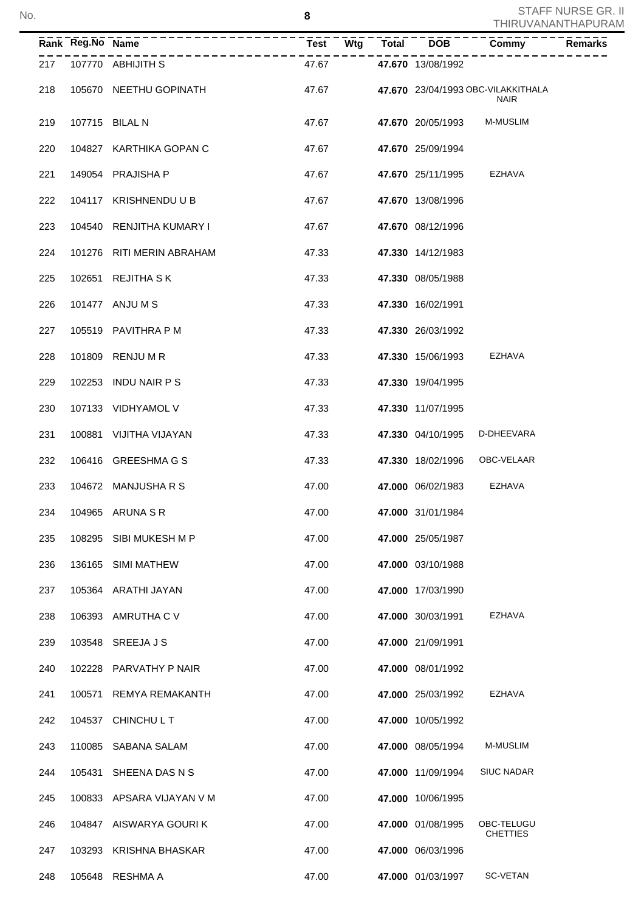|     | Rank Reg.No Name | --------------------      | <b>Test</b><br><b>Wtg</b> | <b>Total</b> | <b>DOB</b>        | Commy                                             | Remarks |
|-----|------------------|---------------------------|---------------------------|--------------|-------------------|---------------------------------------------------|---------|
| 217 |                  | 107770 ABHIJITH S         | 47.67                     |              | 47.670 13/08/1992 |                                                   |         |
| 218 |                  | 105670 NEETHU GOPINATH    | 47.67                     |              |                   | 47.670 23/04/1993 OBC-VILAKKITHALA<br><b>NAIR</b> |         |
| 219 |                  | 107715 BILAL N            | 47.67                     |              | 47.670 20/05/1993 | <b>M-MUSLIM</b>                                   |         |
| 220 |                  | 104827 KARTHIKA GOPAN C   | 47.67                     |              | 47.670 25/09/1994 |                                                   |         |
| 221 |                  | 149054 PRAJISHA P         | 47.67                     |              | 47.670 25/11/1995 | EZHAVA                                            |         |
| 222 |                  | 104117 KRISHNENDU U B     | 47.67                     |              | 47.670 13/08/1996 |                                                   |         |
| 223 |                  | 104540 RENJITHA KUMARY I  | 47.67                     |              | 47.670 08/12/1996 |                                                   |         |
| 224 |                  | 101276 RITI MERIN ABRAHAM | 47.33                     |              | 47.330 14/12/1983 |                                                   |         |
| 225 |                  | 102651 REJITHA SK         | 47.33                     |              | 47.330 08/05/1988 |                                                   |         |
| 226 |                  | 101477 ANJU M S           | 47.33                     |              | 47.330 16/02/1991 |                                                   |         |
| 227 |                  | 105519 PAVITHRA P M       | 47.33                     |              | 47.330 26/03/1992 |                                                   |         |
| 228 |                  | 101809 RENJU M R          | 47.33                     |              | 47.330 15/06/1993 | EZHAVA                                            |         |
| 229 |                  | 102253 INDU NAIR P S      | 47.33                     |              | 47.330 19/04/1995 |                                                   |         |
| 230 |                  | 107133 VIDHYAMOL V        | 47.33                     |              | 47.330 11/07/1995 |                                                   |         |
| 231 |                  | 100881 VIJITHA VIJAYAN    | 47.33                     |              | 47.330 04/10/1995 | D-DHEEVARA                                        |         |
| 232 |                  | 106416 GREESHMAGS         | 47.33                     |              | 47.330 18/02/1996 | OBC-VELAAR                                        |         |
| 233 |                  | 104672 MANJUSHA R S       | 47.00                     |              | 47.000 06/02/1983 | EZHAVA                                            |         |
| 234 |                  | 104965 ARUNA S R          | 47.00                     |              | 47.000 31/01/1984 |                                                   |         |
| 235 |                  | 108295 SIBI MUKESH M P    | 47.00                     |              | 47.000 25/05/1987 |                                                   |         |
| 236 |                  | 136165 SIMI MATHEW        | 47.00                     |              | 47.000 03/10/1988 |                                                   |         |
| 237 |                  | 105364 ARATHI JAYAN       | 47.00                     |              | 47.000 17/03/1990 |                                                   |         |
| 238 |                  | 106393 AMRUTHA C V        | 47.00                     |              | 47.000 30/03/1991 | EZHAVA                                            |         |
| 239 |                  | 103548 SREEJA J S         | 47.00                     |              | 47.000 21/09/1991 |                                                   |         |
| 240 |                  | 102228 PARVATHY P NAIR    | 47.00                     |              | 47.000 08/01/1992 |                                                   |         |
| 241 |                  | 100571 REMYA REMAKANTH    | 47.00                     |              | 47.000 25/03/1992 | EZHAVA                                            |         |
| 242 |                  | 104537 CHINCHULT          | 47.00                     |              | 47.000 10/05/1992 |                                                   |         |
| 243 |                  | 110085 SABANA SALAM       | 47.00                     |              | 47.000 08/05/1994 | <b>M-MUSLIM</b>                                   |         |
| 244 |                  | 105431 SHEENA DAS N S     | 47.00                     |              | 47.000 11/09/1994 | <b>SIUC NADAR</b>                                 |         |
| 245 |                  | 100833 APSARA VIJAYAN V M | 47.00                     |              | 47.000 10/06/1995 |                                                   |         |
| 246 |                  | 104847 AISWARYA GOURI K   | 47.00                     |              | 47.000 01/08/1995 | OBC-TELUGU<br><b>CHETTIES</b>                     |         |
| 247 |                  | 103293 KRISHNA BHASKAR    | 47.00                     |              | 47.000 06/03/1996 |                                                   |         |
| 248 |                  | 105648 RESHMA A           | 47.00                     |              | 47.000 01/03/1997 | <b>SC-VETAN</b>                                   |         |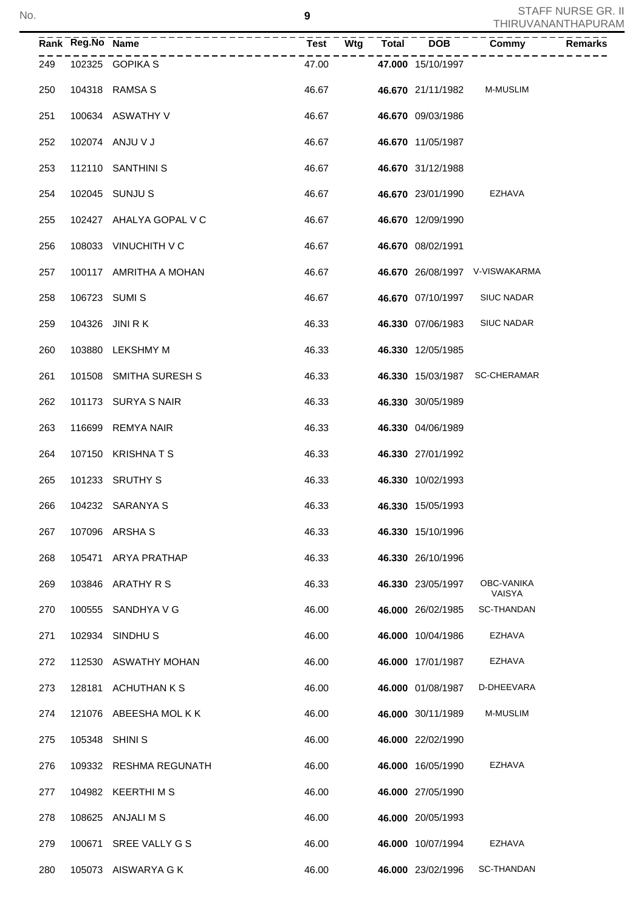|     | Rank Reg.No Name |                         | $T = - - - - - - - - - -$<br>Test Wtg Total |  | $\overline{DOB}$  | $\overline{\text{Commy}}$      | <b>Remarks</b> |
|-----|------------------|-------------------------|---------------------------------------------|--|-------------------|--------------------------------|----------------|
| 249 |                  | 102325 GOPIKA S         | 47.00                                       |  | 47.000 15/10/1997 |                                |                |
| 250 |                  | 104318 RAMSA S          | 46.67                                       |  | 46.670 21/11/1982 | M-MUSLIM                       |                |
| 251 |                  | 100634 ASWATHY V        | 46.67                                       |  | 46.670 09/03/1986 |                                |                |
| 252 |                  | 102074 ANJU V J         | 46.67                                       |  | 46.670 11/05/1987 |                                |                |
| 253 |                  | 112110 SANTHINI S       | 46.67                                       |  | 46.670 31/12/1988 |                                |                |
| 254 |                  | 102045 SUNJU S          | 46.67                                       |  | 46.670 23/01/1990 | EZHAVA                         |                |
| 255 |                  | 102427 AHALYA GOPAL V C | 46.67                                       |  | 46.670 12/09/1990 |                                |                |
| 256 |                  | 108033 VINUCHITH V C    | 46.67                                       |  | 46.670 08/02/1991 |                                |                |
| 257 |                  | 100117 AMRITHA A MOHAN  | 46.67                                       |  |                   | 46.670 26/08/1997 V-VISWAKARMA |                |
| 258 |                  | 106723 SUMIS            | 46.67                                       |  | 46.670 07/10/1997 | <b>SIUC NADAR</b>              |                |
| 259 |                  | 104326 JINI R K         | 46.33                                       |  | 46.330 07/06/1983 | <b>SIUC NADAR</b>              |                |
| 260 |                  | 103880 LEKSHMY M        | 46.33                                       |  | 46.330 12/05/1985 |                                |                |
| 261 |                  | 101508 SMITHA SURESH S  | 46.33                                       |  |                   | 46.330 15/03/1987 SC-CHERAMAR  |                |
| 262 |                  | 101173 SURYA S NAIR     | 46.33                                       |  | 46.330 30/05/1989 |                                |                |
| 263 |                  | 116699 REMYA NAIR       | 46.33                                       |  | 46.330 04/06/1989 |                                |                |
| 264 |                  | 107150 KRISHNATS        | 46.33                                       |  | 46.330 27/01/1992 |                                |                |
| 265 |                  | 101233 SRUTHY S         | 46.33                                       |  | 46.330 10/02/1993 |                                |                |
| 266 |                  | 104232 SARANYA S        | 46.33                                       |  | 46.330 15/05/1993 |                                |                |
| 267 |                  | 107096 ARSHA S          | 46.33                                       |  | 46.330 15/10/1996 |                                |                |
| 268 |                  | 105471 ARYA PRATHAP     | 46.33                                       |  | 46.330 26/10/1996 |                                |                |
| 269 |                  | 103846 ARATHY R S       | 46.33                                       |  | 46.330 23/05/1997 | OBC-VANIKA<br>VAISYA           |                |
| 270 |                  | 100555 SANDHYA V G      | 46.00                                       |  | 46.000 26/02/1985 | SC-THANDAN                     |                |
| 271 |                  | 102934 SINDHU S         | 46.00                                       |  | 46.000 10/04/1986 | <b>EZHAVA</b>                  |                |
| 272 |                  | 112530 ASWATHY MOHAN    | 46.00                                       |  | 46.000 17/01/1987 | EZHAVA                         |                |
| 273 |                  | 128181 ACHUTHAN K S     | 46.00                                       |  | 46.000 01/08/1987 | D-DHEEVARA                     |                |
| 274 |                  | 121076 ABEESHA MOLKK    | 46.00                                       |  | 46.000 30/11/1989 | M-MUSLIM                       |                |
| 275 |                  | 105348 SHINI S          | 46.00                                       |  | 46.000 22/02/1990 |                                |                |
| 276 |                  | 109332 RESHMA REGUNATH  | 46.00                                       |  | 46.000 16/05/1990 | EZHAVA                         |                |
| 277 |                  | 104982 KEERTHIMS        | 46.00                                       |  | 46.000 27/05/1990 |                                |                |
| 278 |                  | 108625 ANJALIMS         | 46.00                                       |  | 46.000 20/05/1993 |                                |                |
| 279 |                  | 100671 SREE VALLY G S   | 46.00                                       |  | 46.000 10/07/1994 | EZHAVA                         |                |
| 280 |                  | 105073 AISWARYA G K     | 46.00                                       |  | 46.000 23/02/1996 | SC-THANDAN                     |                |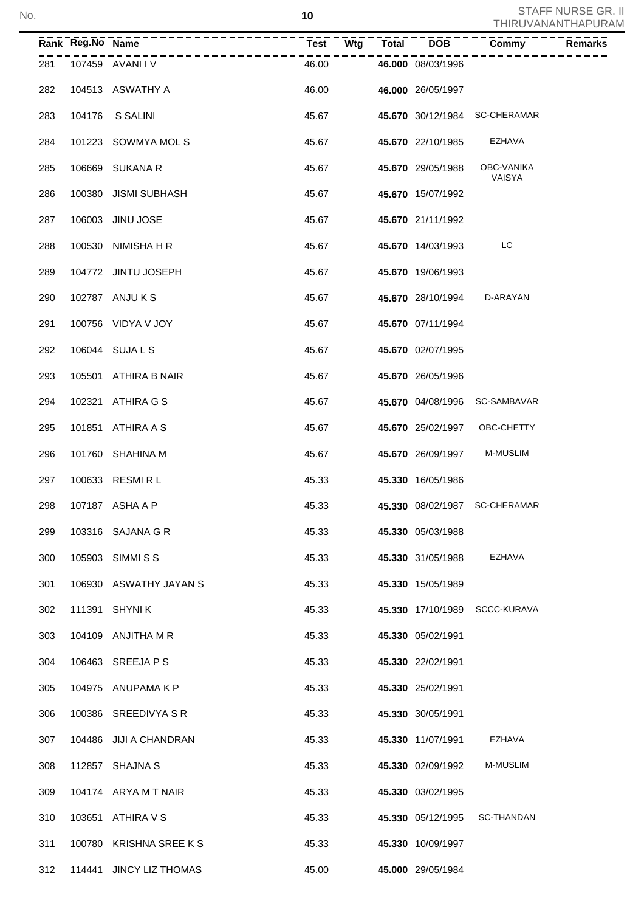|     | Rank Reg.No Name | -----------------       |       | Test Wtg | Total DOB                | Commy                         | Remarks |
|-----|------------------|-------------------------|-------|----------|--------------------------|-------------------------------|---------|
| 281 |                  | 107459 AVANIIV          | 46.00 |          | 46.000 08/03/1996        |                               |         |
| 282 |                  | 104513 ASWATHY A        | 46.00 |          | 46.000 26/05/1997        |                               |         |
| 283 | 104176           | S SALINI                | 45.67 |          |                          | 45.670 30/12/1984 SC-CHERAMAR |         |
| 284 |                  | 101223 SOWMYA MOL S     | 45.67 |          | <b>45.670</b> 22/10/1985 | EZHAVA                        |         |
| 285 |                  | 106669 SUKANA R         | 45.67 |          | 45.670 29/05/1988        | OBC-VANIKA<br>VAISYA          |         |
| 286 |                  | 100380 JISMI SUBHASH    | 45.67 |          | 45.670 15/07/1992        |                               |         |
| 287 |                  | 106003 JINU JOSE        | 45.67 |          | 45.670 21/11/1992        |                               |         |
| 288 |                  | 100530 NIMISHA H R      | 45.67 |          | 45.670 14/03/1993        | LC                            |         |
| 289 |                  | 104772 JINTU JOSEPH     | 45.67 |          | 45.670 19/06/1993        |                               |         |
| 290 |                  | 102787 ANJU K S         | 45.67 |          | 45.670 28/10/1994        | D-ARAYAN                      |         |
| 291 |                  | 100756 VIDYA V JOY      | 45.67 |          | 45.670 07/11/1994        |                               |         |
| 292 |                  | 106044 SUJA L S         | 45.67 |          | 45.670 02/07/1995        |                               |         |
| 293 |                  | 105501 ATHIRA B NAIR    | 45.67 |          | 45.670 26/05/1996        |                               |         |
| 294 |                  | 102321 ATHIRA G S       | 45.67 |          |                          | 45.670 04/08/1996 SC-SAMBAVAR |         |
| 295 |                  | 101851 ATHIRA A S       | 45.67 |          | 45.670 25/02/1997        | OBC-CHETTY                    |         |
| 296 |                  | 101760 SHAHINA M        | 45.67 |          | 45.670 26/09/1997        | <b>M-MUSLIM</b>               |         |
| 297 |                  | 100633 RESMIRL          | 45.33 |          | 45.330 16/05/1986        |                               |         |
| 298 |                  | 107187 ASHA A P         | 45.33 |          |                          | 45.330 08/02/1987 SC-CHERAMAR |         |
| 299 |                  | 103316 SAJANA G R       | 45.33 |          | 45.330 05/03/1988        |                               |         |
| 300 |                  | 105903 SIMMISS          | 45.33 |          | 45.330 31/05/1988        | <b>EZHAVA</b>                 |         |
| 301 |                  | 106930 ASWATHY JAYAN S  | 45.33 |          | 45.330 15/05/1989        |                               |         |
| 302 |                  | 111391 SHYNIK           | 45.33 |          | 45.330 17/10/1989        | SCCC-KURAVA                   |         |
| 303 |                  | 104109 ANJITHA M R      | 45.33 |          | 45.330 05/02/1991        |                               |         |
| 304 |                  | 106463 SREEJA P S       | 45.33 |          | 45.330 22/02/1991        |                               |         |
| 305 |                  | 104975 ANUPAMA K P      | 45.33 |          | 45.330 25/02/1991        |                               |         |
| 306 |                  | 100386 SREEDIVYA SR     | 45.33 |          | 45.330 30/05/1991        |                               |         |
| 307 |                  | 104486 JIJI A CHANDRAN  | 45.33 |          | 45.330 11/07/1991        | <b>EZHAVA</b>                 |         |
| 308 |                  | 112857 SHAJNA S         | 45.33 |          | 45.330 02/09/1992        | M-MUSLIM                      |         |
| 309 |                  | 104174 ARYA M T NAIR    | 45.33 |          | 45.330 03/02/1995        |                               |         |
| 310 |                  | 103651 ATHIRA V S       | 45.33 |          | 45.330 05/12/1995        | SC-THANDAN                    |         |
| 311 |                  | 100780 KRISHNA SREE KS  | 45.33 |          | 45.330 10/09/1997        |                               |         |
| 312 |                  | 114441 JINCY LIZ THOMAS | 45.00 |          | 45.000 29/05/1984        |                               |         |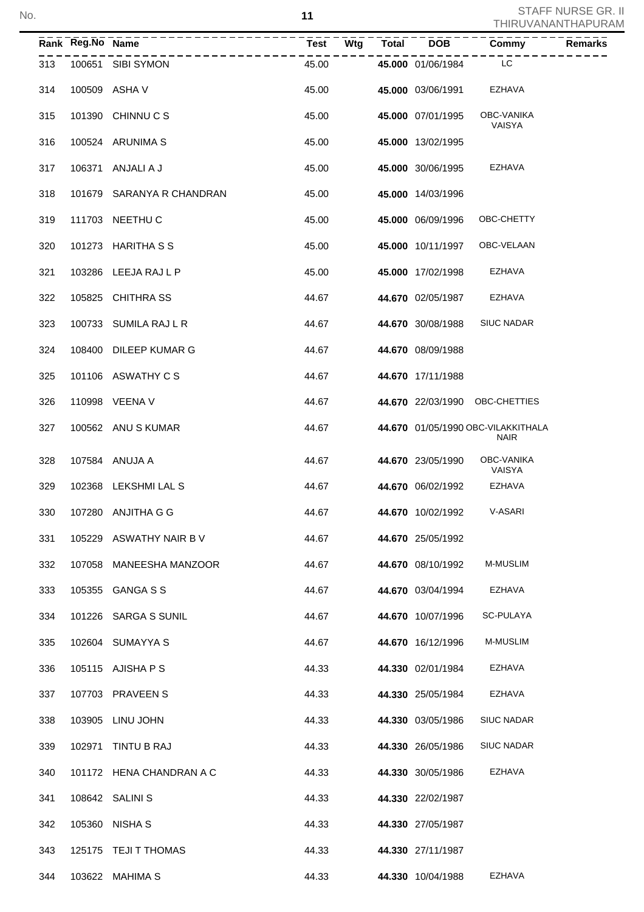|     | Rank Reg.No Name |                                      |       |  |                          |                                                   |  |
|-----|------------------|--------------------------------------|-------|--|--------------------------|---------------------------------------------------|--|
| 313 |                  | ---------------<br>100651 SIBI SYMON | 45.00 |  | 45.000 01/06/1984        | <b>LC</b>                                         |  |
| 314 |                  | 100509 ASHA V                        | 45.00 |  | 45.000 03/06/1991 EZHAVA |                                                   |  |
| 315 |                  | 101390 CHINNUCS                      | 45.00 |  | 45.000 07/01/1995        | OBC-VANIKA<br>VAISYA                              |  |
| 316 |                  | 100524 ARUNIMA S                     | 45.00 |  | 45.000 13/02/1995        |                                                   |  |
| 317 |                  | 106371 ANJALIAJ                      | 45.00 |  | 45.000 30/06/1995        | EZHAVA                                            |  |
| 318 |                  | 101679 SARANYA R CHANDRAN            | 45.00 |  | 45.000 14/03/1996        |                                                   |  |
| 319 |                  | 111703 NEETHU C                      | 45.00 |  | 45.000 06/09/1996        | OBC-CHETTY                                        |  |
| 320 |                  | 101273 HARITHA S S                   | 45.00 |  | 45.000 10/11/1997        | OBC-VELAAN                                        |  |
| 321 |                  | 103286 LEEJA RAJ L P                 | 45.00 |  | 45.000 17/02/1998 EZHAVA |                                                   |  |
| 322 |                  | 105825 CHITHRASS                     | 44.67 |  | 44.670 02/05/1987 EZHAVA |                                                   |  |
| 323 |                  | 100733 SUMILA RAJ L R                | 44.67 |  | 44.670 30/08/1988        | <b>SIUC NADAR</b>                                 |  |
| 324 |                  | 108400 DILEEP KUMAR G                | 44.67 |  | 44.670 08/09/1988        |                                                   |  |
| 325 |                  | 101106 ASWATHY C S                   | 44.67 |  | 44.670 17/11/1988        |                                                   |  |
| 326 |                  | 110998 VEENA V                       | 44.67 |  |                          | 44.670 22/03/1990 OBC-CHETTIES                    |  |
| 327 |                  | 100562 ANU S KUMAR                   | 44.67 |  |                          | 44.670 01/05/1990 OBC-VILAKKITHALA<br><b>NAIR</b> |  |
| 328 |                  | 107584 ANUJA A                       | 44.67 |  | 44.670 23/05/1990        | OBC-VANIKA<br>VAISYA                              |  |
| 329 |                  | 102368 LEKSHMI LAL S                 | 44.67 |  | 44.670 06/02/1992        | EZHAVA                                            |  |
| 330 |                  | 107280 ANJITHA G G                   | 44.67 |  | 44.670 10/02/1992        | V-ASARI                                           |  |
| 331 |                  | 105229 ASWATHY NAIR B V              | 44.67 |  | 44.670 25/05/1992        |                                                   |  |
| 332 | 107058           | MANEESHA MANZOOR                     | 44.67 |  | 44.670 08/10/1992        | M-MUSLIM                                          |  |
| 333 | 105355           | <b>GANGA S S</b>                     | 44.67 |  | 44.670 03/04/1994        | EZHAVA                                            |  |
| 334 | 101226           | <b>SARGA S SUNIL</b>                 | 44.67 |  | 44.670 10/07/1996        | SC-PULAYA                                         |  |
| 335 |                  | 102604 SUMAYYA S                     | 44.67 |  | 44.670 16/12/1996        | M-MUSLIM                                          |  |
| 336 |                  | 105115 AJISHA P S                    | 44.33 |  | 44.330 02/01/1984        | EZHAVA                                            |  |
| 337 |                  | 107703 PRAVEEN S                     | 44.33 |  | 44.330 25/05/1984        | EZHAVA                                            |  |
| 338 |                  | 103905 LINU JOHN                     | 44.33 |  | 44.330 03/05/1986        | SIUC NADAR                                        |  |
| 339 | 102971           | TINTU B RAJ                          | 44.33 |  | 44.330 26/05/1986        | SIUC NADAR                                        |  |
| 340 |                  | 101172 HENA CHANDRAN A C             | 44.33 |  | 44.330 30/05/1986        | EZHAVA                                            |  |
| 341 |                  | 108642 SALINI S                      | 44.33 |  | 44.330 22/02/1987        |                                                   |  |
| 342 |                  | 105360 NISHA S                       | 44.33 |  | 44.330 27/05/1987        |                                                   |  |
| 343 |                  | 125175 TEJI T THOMAS                 | 44.33 |  | 44.330 27/11/1987        |                                                   |  |
| 344 |                  | 103622 MAHIMA S                      | 44.33 |  | 44.330 10/04/1988        | <b>EZHAVA</b>                                     |  |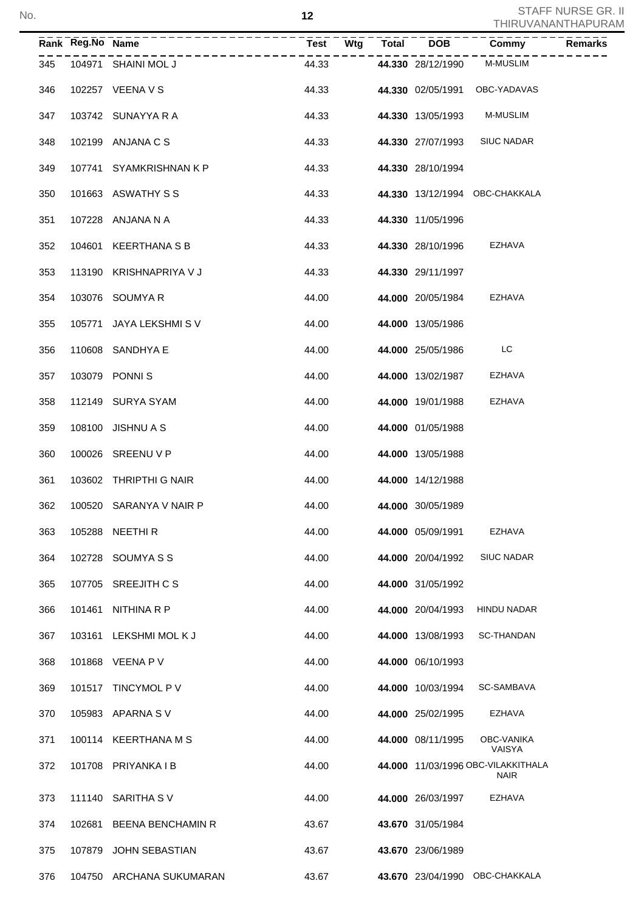|     | Rank Reg.No Name |                          | Test  | Wtg | <b>Total</b> | <b>DOB</b>               | Commy                                             | <b>Remarks</b> |
|-----|------------------|--------------------------|-------|-----|--------------|--------------------------|---------------------------------------------------|----------------|
| 345 |                  | 104971 SHAINI MOL J      | 44.33 |     |              | 44.330 28/12/1990        | M-MUSLIM                                          |                |
| 346 |                  | 102257 VEENA V S         |       |     |              |                          | 44.33 44.330 02/05/1991 OBC-YADAVAS               |                |
| 347 |                  | 103742 SUNAYYA R A       | 44.33 |     |              |                          | 44.330 13/05/1993 M-MUSLIM                        |                |
| 348 |                  | 102199 ANJANA C S        | 44.33 |     |              | <b>44.330 27/07/1993</b> | <b>SIUC NADAR</b>                                 |                |
| 349 |                  | 107741 SYAMKRISHNAN K P  | 44.33 |     |              | 44.330 28/10/1994        |                                                   |                |
| 350 |                  | 101663 ASWATHY S S       | 44.33 |     |              |                          | 44.330 13/12/1994 OBC-CHAKKALA                    |                |
| 351 |                  | 107228 ANJANA N A        | 44.33 |     |              | 44.330 11/05/1996        |                                                   |                |
| 352 |                  | 104601 KEERTHANA S B     | 44.33 |     |              | 44.330 28/10/1996        | EZHAVA                                            |                |
| 353 |                  | 113190 KRISHNAPRIYA V J  | 44.33 |     |              | 44.330 29/11/1997        |                                                   |                |
| 354 |                  | 103076 SOUMYA R          | 44.00 |     |              | 44.000 20/05/1984        | EZHAVA                                            |                |
| 355 |                  | 105771 JAYA LEKSHMIS V   | 44.00 |     |              | 44.000 13/05/1986        |                                                   |                |
| 356 |                  | 110608 SANDHYA E         | 44.00 |     |              | 44.000 25/05/1986        | <b>LC</b>                                         |                |
| 357 |                  | 103079 PONNIS            | 44.00 |     |              |                          | 44.000 13/02/1987 EZHAVA                          |                |
| 358 |                  | 112149 SURYA SYAM        | 44.00 |     |              | 44.000 19/01/1988        | EZHAVA                                            |                |
| 359 |                  | 108100 JISHNU A S        | 44.00 |     |              | 44.000 01/05/1988        |                                                   |                |
| 360 |                  | 100026 SREENU V P        | 44.00 |     |              | 44.000 13/05/1988        |                                                   |                |
| 361 |                  | 103602 THRIPTHI G NAIR   | 44.00 |     |              | 44.000 14/12/1988        |                                                   |                |
| 362 |                  | 100520 SARANYA V NAIR P  | 44.00 |     |              | 44.000 30/05/1989        |                                                   |                |
| 363 |                  | 105288 NEETHIR           | 44.00 |     |              | 44.000 05/09/1991        | EZHAVA                                            |                |
| 364 |                  | 102728 SOUMYA S S        | 44.00 |     |              | 44.000 20/04/1992        | <b>SIUC NADAR</b>                                 |                |
| 365 |                  | 107705 SREEJITH C S      | 44.00 |     |              | 44.000 31/05/1992        |                                                   |                |
| 366 | 101461           | NITHINA R P              | 44.00 |     |              | 44.000 20/04/1993        | HINDU NADAR                                       |                |
| 367 |                  | 103161 LEKSHMI MOL K J   | 44.00 |     |              | 44.000 13/08/1993        | <b>SC-THANDAN</b>                                 |                |
| 368 |                  | 101868 VEENA P V         | 44.00 |     |              | 44.000 06/10/1993        |                                                   |                |
| 369 |                  | 101517 TINCYMOL P V      | 44.00 |     |              | 44.000 10/03/1994        | SC-SAMBAVA                                        |                |
| 370 |                  | 105983 APARNA S V        | 44.00 |     |              | 44.000 25/02/1995        | EZHAVA                                            |                |
| 371 |                  | 100114 KEERTHANA M S     | 44.00 |     |              | 44.000 08/11/1995        | OBC-VANIKA<br>VAISYA                              |                |
| 372 |                  | 101708 PRIYANKA I B      | 44.00 |     |              |                          | 44.000 11/03/1996 OBC-VILAKKITHALA<br><b>NAIR</b> |                |
| 373 |                  | 111140 SARITHA SV        | 44.00 |     |              | 44.000 26/03/1997        | EZHAVA                                            |                |
| 374 | 102681           | <b>BEENA BENCHAMIN R</b> | 43.67 |     |              | 43.670 31/05/1984        |                                                   |                |
| 375 |                  | 107879 JOHN SEBASTIAN    | 43.67 |     |              | 43.670 23/06/1989        |                                                   |                |
| 376 |                  | 104750 ARCHANA SUKUMARAN | 43.67 |     |              |                          | 43.670 23/04/1990 OBC-CHAKKALA                    |                |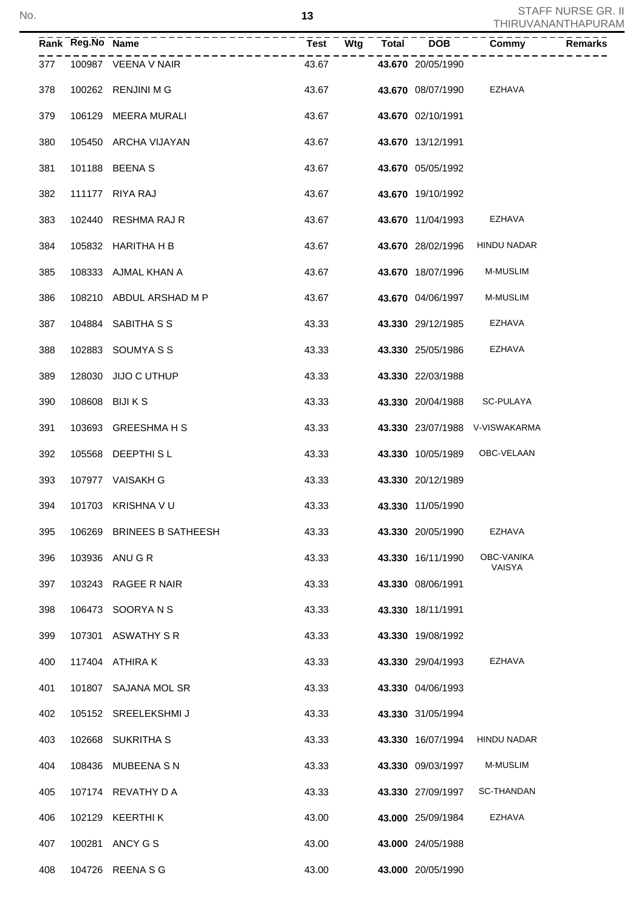|     | Rank Reg.No Name |                           | <b>Test</b><br>Wtg | <b>Total</b> | <b>DOB</b>        | Commy                          | <b>Remarks</b> |
|-----|------------------|---------------------------|--------------------|--------------|-------------------|--------------------------------|----------------|
| 377 |                  | 100987 VEENA V NAIR       | 43.67              |              | 43.670 20/05/1990 |                                |                |
| 378 |                  | 100262 RENJINI M G        | 43.67              |              | 43.670 08/07/1990 | EZHAVA                         |                |
| 379 |                  | 106129 MEERA MURALI       | 43.67              |              | 43.670 02/10/1991 |                                |                |
| 380 |                  | 105450 ARCHA VIJAYAN      | 43.67              |              | 43.670 13/12/1991 |                                |                |
| 381 |                  | 101188 BEENA S            | 43.67              |              | 43.670 05/05/1992 |                                |                |
| 382 |                  | 111177 RIYA RAJ           | 43.67              |              | 43.670 19/10/1992 |                                |                |
| 383 |                  | 102440 RESHMA RAJ R       | 43.67              |              | 43.670 11/04/1993 | EZHAVA                         |                |
| 384 |                  | 105832 HARITHA H B        | 43.67              |              | 43.670 28/02/1996 | <b>HINDU NADAR</b>             |                |
| 385 |                  | 108333 AJMAL KHAN A       | 43.67              |              | 43.670 18/07/1996 | M-MUSLIM                       |                |
| 386 |                  | 108210 ABDUL ARSHAD M P   | 43.67              |              | 43.670 04/06/1997 | M-MUSLIM                       |                |
| 387 |                  | 104884 SABITHA S S        | 43.33              |              | 43.330 29/12/1985 | EZHAVA                         |                |
| 388 |                  | 102883 SOUMYA S S         | 43.33              |              | 43.330 25/05/1986 | EZHAVA                         |                |
| 389 |                  | 128030 JIJO C UTHUP       | 43.33              |              | 43.330 22/03/1988 |                                |                |
| 390 |                  | 108608 BIJI K S           | 43.33              |              | 43.330 20/04/1988 | SC-PULAYA                      |                |
| 391 |                  | 103693 GREESHMA H S       | 43.33              |              |                   | 43.330 23/07/1988 V-VISWAKARMA |                |
| 392 |                  | 105568 DEEPTHISL          | 43.33              |              | 43.330 10/05/1989 | OBC-VELAAN                     |                |
| 393 |                  | 107977 VAISAKH G          | 43.33              |              | 43.330 20/12/1989 |                                |                |
| 394 |                  | 101703 KRISHNA V U        | 43.33              |              | 43.330 11/05/1990 |                                |                |
| 395 | 106269           | <b>BRINEES B SATHEESH</b> | 43.33              |              | 43.330 20/05/1990 | EZHAVA                         |                |
| 396 |                  | 103936 ANU G R            | 43.33              |              | 43.330 16/11/1990 | OBC-VANIKA<br>VAISYA           |                |
| 397 | 103243           | RAGEE R NAIR              | 43.33              |              | 43.330 08/06/1991 |                                |                |
| 398 | 106473           | SOORYANS                  | 43.33              |              | 43.330 18/11/1991 |                                |                |
| 399 |                  | 107301 ASWATHY SR         | 43.33              |              | 43.330 19/08/1992 |                                |                |
| 400 |                  | 117404 ATHIRAK            | 43.33              |              | 43.330 29/04/1993 | EZHAVA                         |                |
| 401 | 101807           | SAJANA MOL SR             | 43.33              |              | 43.330 04/06/1993 |                                |                |
| 402 | 105152           | SREELEKSHMI J             | 43.33              |              | 43.330 31/05/1994 |                                |                |
| 403 | 102668           | SUKRITHA S                | 43.33              |              | 43.330 16/07/1994 | HINDU NADAR                    |                |
| 404 | 108436           | <b>MUBEENA S N</b>        | 43.33              |              | 43.330 09/03/1997 | M-MUSLIM                       |                |
| 405 |                  | 107174 REVATHY D A        | 43.33              |              | 43.330 27/09/1997 | SC-THANDAN                     |                |
| 406 | 102129           | KEERTHI K                 | 43.00              |              | 43.000 25/09/1984 | EZHAVA                         |                |
| 407 | 100281           | ANCY G S                  | 43.00              |              | 43.000 24/05/1988 |                                |                |
| 408 |                  | 104726 REENA S G          | 43.00              |              | 43.000 20/05/1990 |                                |                |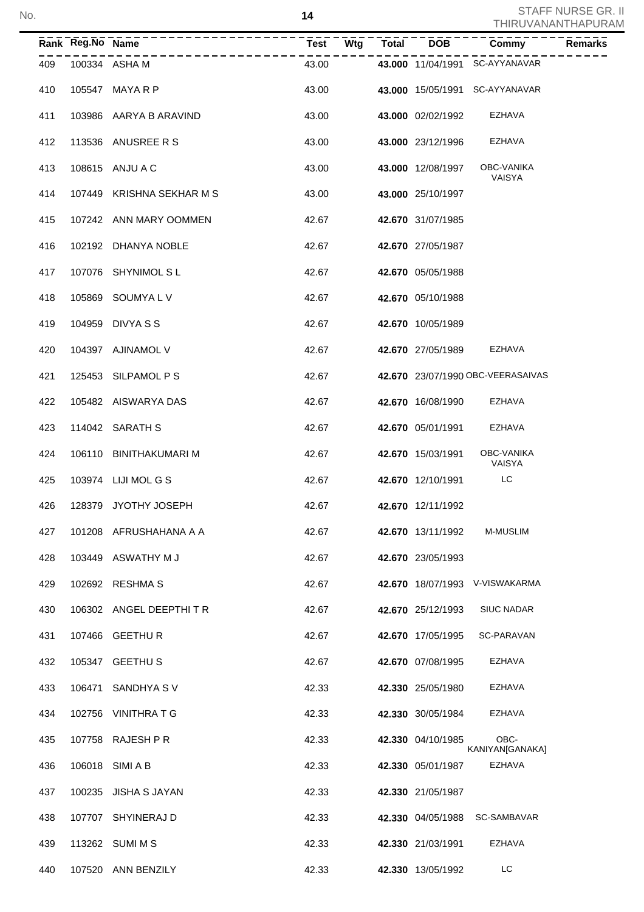|     | Rank Reg.No Name |                           | <b>Test</b> | Wtg | <b>Total</b> | <b>DOB</b>        | Commy                              | <b>Remarks</b> |
|-----|------------------|---------------------------|-------------|-----|--------------|-------------------|------------------------------------|----------------|
| 409 |                  | 100334 ASHA M             | 43.00       |     |              |                   | 43.000 11/04/1991 SC-AYYANAVAR     |                |
| 410 |                  | 105547 MAYA R P           | 43.00       |     |              |                   | 43.000 15/05/1991 SC-AYYANAVAR     |                |
| 411 |                  | 103986 AARYA B ARAVIND    | 43.00       |     |              | 43.000 02/02/1992 | EZHAVA                             |                |
| 412 |                  | 113536 ANUSREE R S        | 43.00       |     |              | 43.000 23/12/1996 | EZHAVA                             |                |
| 413 |                  | 108615 ANJU A C           | 43.00       |     |              | 43.000 12/08/1997 | <b>OBC-VANIKA</b><br><b>VAISYA</b> |                |
| 414 |                  | 107449 KRISHNA SEKHAR M S | 43.00       |     |              | 43.000 25/10/1997 |                                    |                |
| 415 |                  | 107242 ANN MARY OOMMEN    | 42.67       |     |              | 42.670 31/07/1985 |                                    |                |
| 416 |                  | 102192 DHANYA NOBLE       | 42.67       |     |              | 42.670 27/05/1987 |                                    |                |
| 417 |                  | 107076 SHYNIMOL SL        | 42.67       |     |              | 42.670 05/05/1988 |                                    |                |
| 418 |                  | 105869 SOUMYALV           | 42.67       |     |              | 42.670 05/10/1988 |                                    |                |
| 419 |                  | 104959 DIVYA S S          | 42.67       |     |              | 42.670 10/05/1989 |                                    |                |
| 420 |                  | 104397 AJINAMOL V         | 42.67       |     |              | 42.670 27/05/1989 | <b>EZHAVA</b>                      |                |
| 421 |                  | 125453 SILPAMOL P S       | 42.67       |     |              |                   | 42.670 23/07/1990 OBC-VEERASAIVAS  |                |
| 422 |                  | 105482 AISWARYA DAS       | 42.67       |     |              | 42.670 16/08/1990 | EZHAVA                             |                |
| 423 |                  | 114042 SARATH S           | 42.67       |     |              | 42.670 05/01/1991 | <b>EZHAVA</b>                      |                |
| 424 |                  | 106110 BINITHAKUMARI M    | 42.67       |     |              | 42.670 15/03/1991 | OBC-VANIKA<br>VAISYA               |                |
| 425 |                  | 103974 LIJI MOL G S       | 42.67       |     |              | 42.670 12/10/1991 | LC                                 |                |
| 426 |                  | 128379 JYOTHY JOSEPH      | 42.67       |     |              | 42.670 12/11/1992 |                                    |                |
| 427 |                  | 101208 AFRUSHAHANA A A    | 42.67       |     |              | 42.670 13/11/1992 | M-MUSLIM                           |                |
| 428 |                  | 103449 ASWATHY M J        | 42.67       |     |              | 42.670 23/05/1993 |                                    |                |
| 429 |                  | 102692 RESHMA S           | 42.67       |     |              | 42.670 18/07/1993 | V-VISWAKARMA                       |                |
| 430 |                  | 106302 ANGEL DEEPTHITR    | 42.67       |     |              | 42.670 25/12/1993 | SIUC NADAR                         |                |
| 431 |                  | 107466 GEETHUR            | 42.67       |     |              | 42.670 17/05/1995 | SC-PARAVAN                         |                |
| 432 | 105347           | <b>GEETHUS</b>            | 42.67       |     |              | 42.670 07/08/1995 | EZHAVA                             |                |
| 433 | 106471           | SANDHYA SV                | 42.33       |     |              | 42.330 25/05/1980 | EZHAVA                             |                |
| 434 | 102756           | VINITHRA T G              | 42.33       |     |              | 42.330 30/05/1984 | EZHAVA                             |                |
| 435 |                  | 107758 RAJESH P R         | 42.33       |     |              | 42.330 04/10/1985 | OBC-<br>KANIYAN[GANAKA]            |                |
| 436 |                  | 106018 SIMI A B           | 42.33       |     |              | 42.330 05/01/1987 | EZHAVA                             |                |
| 437 | 100235           | <b>JISHA S JAYAN</b>      | 42.33       |     |              | 42.330 21/05/1987 |                                    |                |
| 438 |                  | 107707 SHYINERAJ D        | 42.33       |     |              | 42.330 04/05/1988 | SC-SAMBAVAR                        |                |
| 439 |                  | 113262 SUMI M S           | 42.33       |     |              | 42.330 21/03/1991 | EZHAVA                             |                |
| 440 |                  | 107520 ANN BENZILY        | 42.33       |     |              | 42.330 13/05/1992 | LC                                 |                |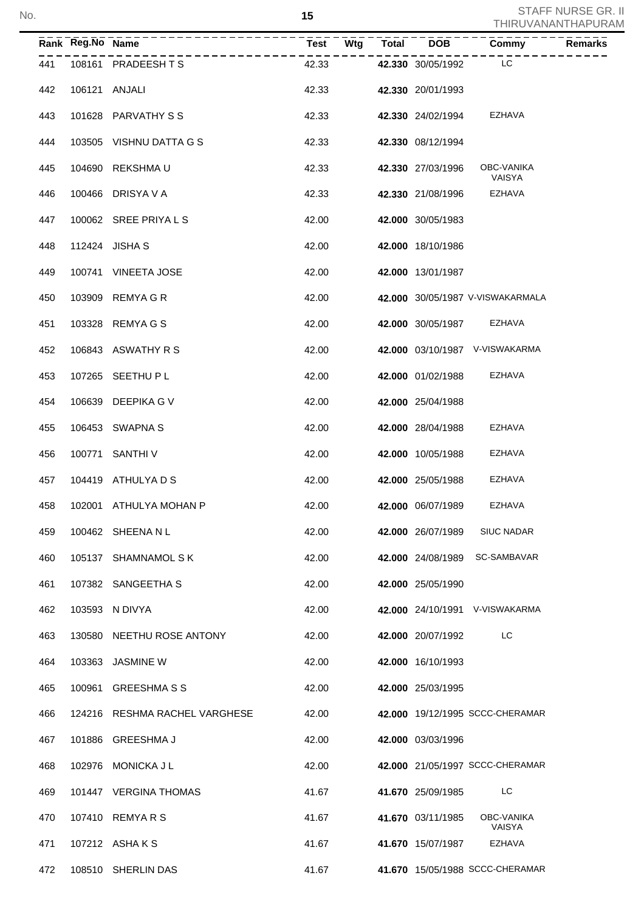|     | Rank Reg.No Name |                               | Test  | Wtg | <b>Total</b> | <b>DOB</b>        | Common <sub>T</sub>              | <b>Remarks</b> |
|-----|------------------|-------------------------------|-------|-----|--------------|-------------------|----------------------------------|----------------|
| 441 |                  | 108161 PRADEESHTS             | 42.33 |     |              | 42.330 30/05/1992 | LC                               |                |
| 442 |                  | 106121 ANJALI                 | 42.33 |     |              | 42.330 20/01/1993 |                                  |                |
| 443 |                  | 101628 PARVATHY S S           | 42.33 |     |              | 42.330 24/02/1994 | EZHAVA                           |                |
| 444 |                  | 103505 VISHNU DATTA G S       | 42.33 |     |              | 42.330 08/12/1994 |                                  |                |
| 445 | 104690           | REKSHMA U                     | 42.33 |     |              | 42.330 27/03/1996 | OBC-VANIKA<br>VAISYA             |                |
| 446 |                  | 100466 DRISYA V A             | 42.33 |     |              | 42.330 21/08/1996 | EZHAVA                           |                |
| 447 |                  | 100062 SREE PRIYALS           | 42.00 |     |              | 42.000 30/05/1983 |                                  |                |
| 448 |                  | 112424 JISHA S                | 42.00 |     |              | 42.000 18/10/1986 |                                  |                |
| 449 |                  | 100741 VINEETA JOSE           | 42.00 |     |              | 42.000 13/01/1987 |                                  |                |
| 450 |                  | 103909 REMYA G R              | 42.00 |     |              |                   | 42.000 30/05/1987 V-VISWAKARMALA |                |
| 451 |                  | 103328 REMYA G S              | 42.00 |     |              | 42.000 30/05/1987 | EZHAVA                           |                |
| 452 |                  | 106843 ASWATHY R S            | 42.00 |     |              |                   | 42.000 03/10/1987 V-VISWAKARMA   |                |
| 453 |                  | 107265 SEETHU P L             | 42.00 |     |              | 42.000 01/02/1988 | EZHAVA                           |                |
| 454 |                  | 106639 DEEPIKA G V            | 42.00 |     |              | 42.000 25/04/1988 |                                  |                |
| 455 |                  | 106453 SWAPNA S               | 42.00 |     |              | 42.000 28/04/1988 | EZHAVA                           |                |
| 456 |                  | 100771 SANTHI V               | 42.00 |     |              | 42.000 10/05/1988 | EZHAVA                           |                |
| 457 |                  | 104419 ATHULYA D S            | 42.00 |     |              | 42.000 25/05/1988 | EZHAVA                           |                |
| 458 |                  | 102001 ATHULYA MOHAN P        | 42.00 |     |              | 42.000 06/07/1989 | EZHAVA                           |                |
| 459 |                  | 100462 SHEENANL               | 42.00 |     |              | 42.000 26/07/1989 | <b>SIUC NADAR</b>                |                |
| 460 |                  | 105137 SHAMNAMOL S K          | 42.00 |     |              | 42.000 24/08/1989 | SC-SAMBAVAR                      |                |
| 461 |                  | 107382 SANGEETHA S            | 42.00 |     |              | 42.000 25/05/1990 |                                  |                |
| 462 |                  | 103593 N DIVYA                | 42.00 |     |              |                   | 42.000 24/10/1991 V-VISWAKARMA   |                |
| 463 |                  | 130580 NEETHU ROSE ANTONY     | 42.00 |     |              | 42.000 20/07/1992 | LC                               |                |
| 464 |                  | 103363 JASMINE W              | 42.00 |     |              | 42.000 16/10/1993 |                                  |                |
| 465 | 100961           | <b>GREESHMA S S</b>           | 42.00 |     |              | 42.000 25/03/1995 |                                  |                |
| 466 |                  | 124216 RESHMA RACHEL VARGHESE | 42.00 |     |              |                   | 42.000 19/12/1995 SCCC-CHERAMAR  |                |
| 467 |                  | 101886 GREESHMA J             | 42.00 |     |              | 42.000 03/03/1996 |                                  |                |
| 468 |                  | 102976 MONICKA J L            | 42.00 |     |              |                   | 42.000 21/05/1997 SCCC-CHERAMAR  |                |
| 469 |                  | 101447 VERGINA THOMAS         | 41.67 |     |              | 41.670 25/09/1985 | LC.                              |                |
| 470 |                  | 107410 REMYARS                | 41.67 |     |              | 41.670 03/11/1985 | OBC-VANIKA<br>VAISYA             |                |
| 471 |                  | 107212 ASHAKS                 | 41.67 |     |              | 41.670 15/07/1987 | EZHAVA                           |                |
| 472 |                  | 108510 SHERLIN DAS            | 41.67 |     |              |                   | 41.670 15/05/1988 SCCC-CHERAMAR  |                |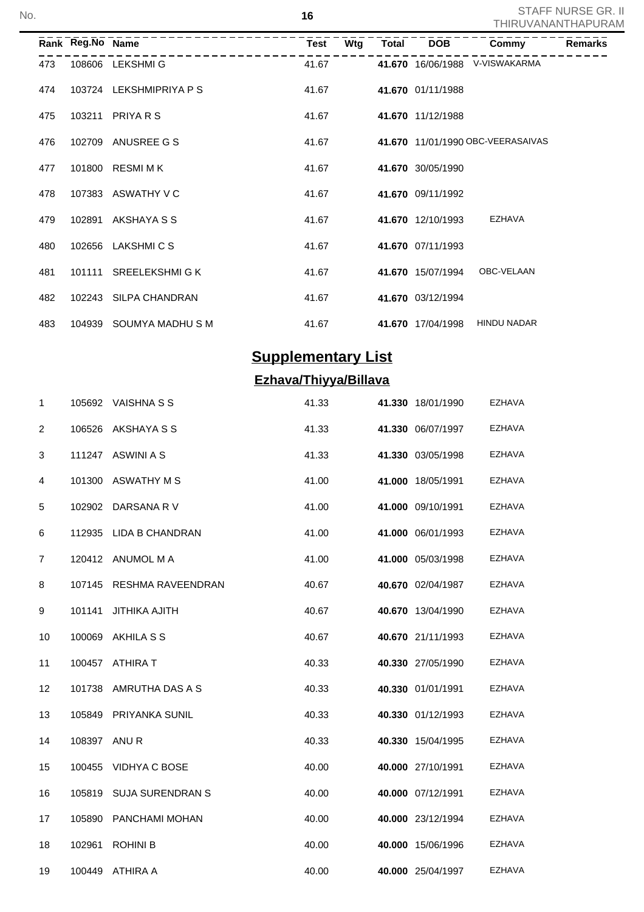|     | Rank Reg.No Name |                         | Test  | Wtg | <b>Total</b> | <b>DOB</b>        | Commy                             | Remarks |
|-----|------------------|-------------------------|-------|-----|--------------|-------------------|-----------------------------------|---------|
| 473 |                  | 108606 LEKSHMIG         | 41.67 |     |              |                   | 41.670 16/06/1988 V-VISWAKARMA    |         |
| 474 |                  | 103724 LEKSHMIPRIYA P S | 41.67 |     |              | 41.670 01/11/1988 |                                   |         |
| 475 |                  | 103211 PRIYARS          | 41.67 |     |              | 41.670 11/12/1988 |                                   |         |
| 476 |                  | 102709 ANUSREE G S      | 41.67 |     |              |                   | 41.670 11/01/1990 OBC-VEERASAIVAS |         |
| 477 |                  | 101800 RESMIMK          | 41.67 |     |              | 41.670 30/05/1990 |                                   |         |
| 478 |                  | 107383 ASWATHY V C      | 41.67 |     |              | 41.670 09/11/1992 |                                   |         |
| 479 | 102891           | AKSHAYA S S             | 41.67 |     |              | 41.670 12/10/1993 | EZHAVA                            |         |
| 480 |                  | 102656 LAKSHMICS        | 41.67 |     |              | 41.670 07/11/1993 |                                   |         |
| 481 |                  | 101111 SREELEKSHMIGK    | 41.67 |     |              | 41.670 15/07/1994 | OBC-VELAAN                        |         |
| 482 |                  | 102243 SILPA CHANDRAN   | 41.67 |     |              | 41.670 03/12/1994 |                                   |         |
| 483 |                  | 104939 SOUMYA MADHU S M | 41.67 |     |              | 41.670 17/04/1998 | <b>HINDU NADAR</b>                |         |

# **Supplementary List**

# **Ezhava/Thiyya/Billava**

| 1              | 105692       | <b>VAISHNA S S</b>       | 41.33 | 41.330 18/01/1990 | <b>EZHAVA</b> |
|----------------|--------------|--------------------------|-------|-------------------|---------------|
| 2              | 106526       | AKSHAYA S S              | 41.33 | 41.330 06/07/1997 | <b>EZHAVA</b> |
| 3              | 111247       | ASWINI A S               | 41.33 | 41.330 03/05/1998 | EZHAVA        |
| 4              | 101300       | ASWATHY M S              | 41.00 | 41.000 18/05/1991 | <b>EZHAVA</b> |
| 5              | 102902       | DARSANA R V              | 41.00 | 41.000 09/10/1991 | EZHAVA        |
| 6              |              | 112935 LIDA B CHANDRAN   | 41.00 | 41.000 06/01/1993 | EZHAVA        |
| $\overline{7}$ |              | 120412 ANUMOL M A        | 41.00 | 41.000 05/03/1998 | EZHAVA        |
| 8              | 107145       | <b>RESHMA RAVEENDRAN</b> | 40.67 | 40.670 02/04/1987 | EZHAVA        |
| 9              | 101141       | <b>JITHIKA AJITH</b>     | 40.67 | 40.670 13/04/1990 | <b>EZHAVA</b> |
| 10             | 100069       | AKHILA S S               | 40.67 | 40.670 21/11/1993 | <b>EZHAVA</b> |
| 11             |              | 100457 ATHIRA T          | 40.33 | 40.330 27/05/1990 | EZHAVA        |
| 12             | 101738       | AMRUTHA DAS A S          | 40.33 | 40.330 01/01/1991 | <b>EZHAVA</b> |
| 13             | 105849       | <b>PRIYANKA SUNIL</b>    | 40.33 | 40.330 01/12/1993 | <b>EZHAVA</b> |
| 14             | 108397 ANU R |                          | 40.33 | 40.330 15/04/1995 | <b>EZHAVA</b> |
| 15             |              | 100455 VIDHYA C BOSE     | 40.00 | 40.000 27/10/1991 | <b>EZHAVA</b> |
| 16             | 105819       | <b>SUJA SURENDRAN S</b>  | 40.00 | 40.000 07/12/1991 | <b>EZHAVA</b> |
| 17             | 105890       | PANCHAMI MOHAN           | 40.00 | 40.000 23/12/1994 | <b>EZHAVA</b> |
| 18             | 102961       | <b>ROHINI B</b>          | 40.00 | 40.000 15/06/1996 | <b>EZHAVA</b> |
| 19             | 100449       | ATHIRA A                 | 40.00 | 40.000 25/04/1997 | EZHAVA        |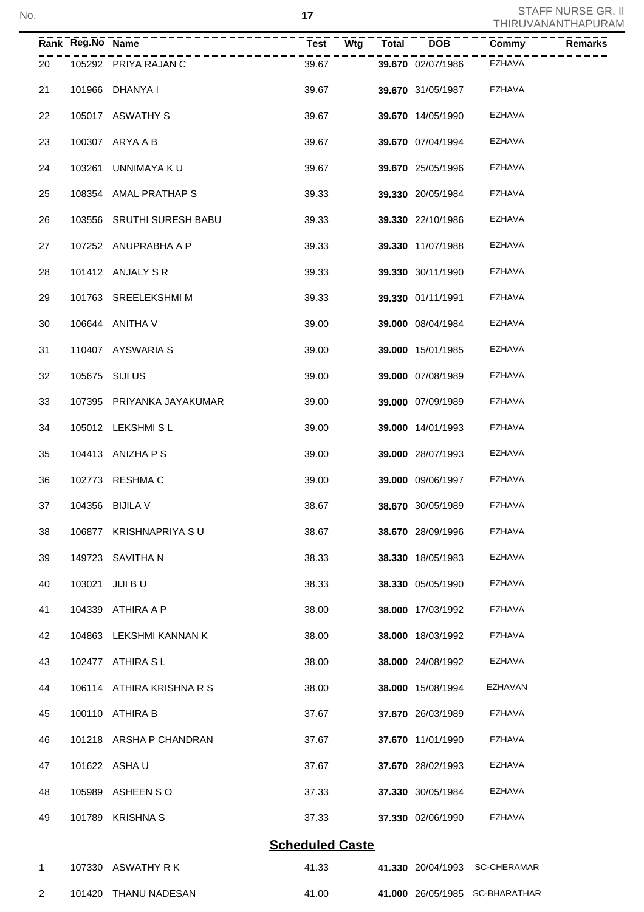No. L,

|                |                  |                           |                        |              |                   |                                | <u>HIINUVAINAINILIAE UNE</u> |
|----------------|------------------|---------------------------|------------------------|--------------|-------------------|--------------------------------|------------------------------|
|                | Rank Reg.No Name |                           | <b>Test</b><br>Wtg     | <b>Total</b> | <b>DOB</b>        | Commy                          | Remarks                      |
| 20             |                  | 105292 PRIYA RAJAN C      | 39.67                  |              | 39.670 02/07/1986 | <b>EZHAVA</b>                  |                              |
| 21             |                  | 101966 DHANYA I           | 39.67                  |              | 39.670 31/05/1987 | <b>EZHAVA</b>                  |                              |
| 22             |                  | 105017 ASWATHY S          | 39.67                  |              | 39.670 14/05/1990 | EZHAVA                         |                              |
| 23             |                  | 100307 ARYA A B           | 39.67                  |              | 39.670 07/04/1994 | EZHAVA                         |                              |
| 24             |                  | 103261 UNNIMAYA KU        | 39.67                  |              | 39.670 25/05/1996 | EZHAVA                         |                              |
| 25             |                  | 108354 AMAL PRATHAP S     | 39.33                  |              | 39.330 20/05/1984 | EZHAVA                         |                              |
| 26             |                  | 103556 SRUTHI SURESH BABU | 39.33                  |              | 39.330 22/10/1986 | EZHAVA                         |                              |
| 27             |                  | 107252 ANUPRABHA A P      | 39.33                  |              | 39.330 11/07/1988 | EZHAVA                         |                              |
| 28             |                  | 101412 ANJALY S R         | 39.33                  |              | 39.330 30/11/1990 | EZHAVA                         |                              |
| 29             |                  | 101763 SREELEKSHMIM       | 39.33                  |              | 39.330 01/11/1991 | EZHAVA                         |                              |
| 30             |                  | 106644 ANITHA V           | 39.00                  |              | 39.000 08/04/1984 | EZHAVA                         |                              |
| 31             |                  | 110407 AYSWARIA S         | 39.00                  |              | 39.000 15/01/1985 | EZHAVA                         |                              |
| 32             |                  | 105675 SIJI US            | 39.00                  |              | 39.000 07/08/1989 | EZHAVA                         |                              |
| 33             |                  | 107395 PRIYANKA JAYAKUMAR | 39.00                  |              | 39.000 07/09/1989 | EZHAVA                         |                              |
| 34             |                  | 105012 LEKSHMISL          | 39.00                  |              | 39.000 14/01/1993 | EZHAVA                         |                              |
| 35             |                  | 104413 ANIZHA P S         | 39.00                  |              | 39.000 28/07/1993 | EZHAVA                         |                              |
| 36             |                  | 102773 RESHMA C           | 39.00                  |              | 39.000 09/06/1997 | EZHAVA                         |                              |
| 37             |                  | 104356 BIJILA V           | 38.67                  |              | 38.670 30/05/1989 | EZHAVA                         |                              |
| 38             | 106877           | KRISHNAPRIYA SU           | 38.67                  |              | 38.670 28/09/1996 | EZHAVA                         |                              |
| 39             | 149723           | SAVITHA N                 | 38.33                  |              | 38.330 18/05/1983 | EZHAVA                         |                              |
| 40             | 103021           | JIJI BU                   | 38.33                  |              | 38.330 05/05/1990 | EZHAVA                         |                              |
| 41             | 104339           | ATHIRA A P                | 38.00                  |              | 38.000 17/03/1992 | EZHAVA                         |                              |
| 42             | 104863           | LEKSHMI KANNAN K          | 38.00                  |              | 38,000 18/03/1992 | EZHAVA                         |                              |
| 43             |                  | 102477 ATHIRA SL          | 38.00                  |              | 38.000 24/08/1992 | EZHAVA                         |                              |
| 44             |                  | 106114 ATHIRA KRISHNA R S | 38.00                  |              | 38.000 15/08/1994 | EZHAVAN                        |                              |
| 45             |                  | 100110 ATHIRA B           | 37.67                  |              | 37.670 26/03/1989 | EZHAVA                         |                              |
| 46             |                  | 101218 ARSHA P CHANDRAN   | 37.67                  |              | 37.670 11/01/1990 | EZHAVA                         |                              |
| 47             |                  | 101622 ASHA U             | 37.67                  |              | 37.670 28/02/1993 | EZHAVA                         |                              |
| 48             | 105989           | ASHEEN SO                 | 37.33                  |              | 37.330 30/05/1984 | EZHAVA                         |                              |
| 49             | 101789           | <b>KRISHNA S</b>          | 37.33                  |              | 37.330 02/06/1990 | EZHAVA                         |                              |
|                |                  |                           | <b>Scheduled Caste</b> |              |                   |                                |                              |
| 1              | 107330           | ASWATHY R K               | 41.33                  |              | 41.330 20/04/1993 | <b>SC-CHERAMAR</b>             |                              |
| $\overline{2}$ | 101420           | THANU NADESAN             | 41.00                  |              |                   | 41.000 26/05/1985 SC-BHARATHAR |                              |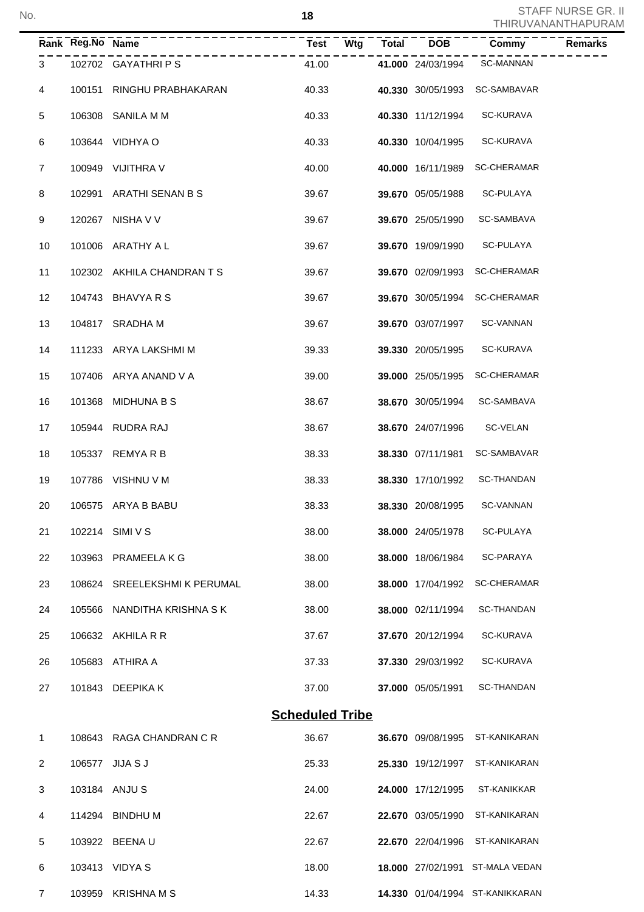|                | Rank Reg.No Name |                             | Wtg<br><b>Test</b>     | <b>Total</b> | <b>DOB</b>        | Commy<br>Remarks                |
|----------------|------------------|-----------------------------|------------------------|--------------|-------------------|---------------------------------|
| 3              |                  | 102702 GAYATHRIPS           | 41.00                  |              | 41.000 24/03/1994 | <b>SC-MANNAN</b>                |
| 4              |                  | 100151 RINGHU PRABHAKARAN   | 40.33                  |              | 40.330 30/05/1993 | SC-SAMBAVAR                     |
| 5              |                  | 106308 SANILA M M           | 40.33                  |              | 40.330 11/12/1994 | SC-KURAVA                       |
| 6              |                  | 103644 VIDHYA O             | 40.33                  |              | 40.330 10/04/1995 | SC-KURAVA                       |
| $\overline{7}$ |                  | 100949 VIJITHRA V           | 40.00                  |              | 40.000 16/11/1989 | <b>SC-CHERAMAR</b>              |
| 8              |                  | 102991 ARATHI SENAN B S     | 39.67                  |              | 39.670 05/05/1988 | SC-PULAYA                       |
| 9              |                  | 120267 NISHA V V            | 39.67                  |              | 39.670 25/05/1990 | SC-SAMBAVA                      |
| 10             |                  | 101006 ARATHY A L           | 39.67                  |              | 39.670 19/09/1990 | SC-PULAYA                       |
| 11             |                  | 102302 AKHILA CHANDRAN TS   | 39.67                  |              | 39.670 02/09/1993 | <b>SC-CHERAMAR</b>              |
| 12             |                  | 104743 BHAVYA R S           | 39.67                  |              | 39.670 30/05/1994 | <b>SC-CHERAMAR</b>              |
| 13             |                  | 104817 SRADHA M             | 39.67                  |              | 39.670 03/07/1997 | SC-VANNAN                       |
| 14             |                  | 111233 ARYA LAKSHMI M       | 39.33                  |              | 39.330 20/05/1995 | SC-KURAVA                       |
| 15             |                  | 107406 ARYA ANAND V A       | 39.00                  |              | 39.000 25/05/1995 | <b>SC-CHERAMAR</b>              |
| 16             |                  | 101368 MIDHUNA B S          | 38.67                  |              | 38.670 30/05/1994 | SC-SAMBAVA                      |
| 17             |                  | 105944 RUDRA RAJ            | 38.67                  |              | 38.670 24/07/1996 | SC-VELAN                        |
| 18             |                  | 105337 REMYARB              | 38.33                  |              | 38.330 07/11/1981 | SC-SAMBAVAR                     |
| 19             |                  | 107786 VISHNU V M           | 38.33                  |              | 38.330 17/10/1992 | SC-THANDAN                      |
| 20             |                  | 106575 ARYA B BABU          | 38.33                  |              | 38.330 20/08/1995 | SC-VANNAN                       |
| 21             |                  | 102214 SIMI V S             | 38.00                  |              | 38.000 24/05/1978 | SC-PULAYA                       |
| 22             |                  | 103963 PRAMEELA K G         | 38.00                  |              | 38.000 18/06/1984 | <b>SC-PARAYA</b>                |
| 23             |                  | 108624 SREELEKSHMIK PERUMAL | 38.00                  |              | 38.000 17/04/1992 | <b>SC-CHERAMAR</b>              |
| 24             | 105566           | NANDITHA KRISHNA S K        | 38.00                  |              | 38.000 02/11/1994 | <b>SC-THANDAN</b>               |
| 25             |                  | 106632 AKHILA R R           | 37.67                  |              | 37.670 20/12/1994 | SC-KURAVA                       |
| 26             |                  | 105683 ATHIRA A             | 37.33                  |              | 37.330 29/03/1992 | SC-KURAVA                       |
| 27             |                  | 101843 DEEPIKA K            | 37.00                  |              | 37.000 05/05/1991 | SC-THANDAN                      |
|                |                  |                             | <b>Scheduled Tribe</b> |              |                   |                                 |
| 1              |                  | 108643 RAGA CHANDRAN C R    | 36.67                  |              | 36.670 09/08/1995 | ST-KANIKARAN                    |
| 2              |                  | 106577 JIJA S J             | 25.33                  |              | 25.330 19/12/1997 | ST-KANIKARAN                    |
| 3              |                  | 103184 ANJU S               | 24.00                  |              | 24.000 17/12/1995 | ST-KANIKKAR                     |
| 4              |                  | 114294 BINDHU M             | 22.67                  |              | 22.670 03/05/1990 | ST-KANIKARAN                    |
| 5              |                  | 103922 BEENAU               | 22.67                  |              | 22.670 22/04/1996 | ST-KANIKARAN                    |
| 6              |                  | 103413 VIDYA S              | 18.00                  |              |                   | 18.000 27/02/1991 ST-MALA VEDAN |
| 7              |                  | 103959 KRISHNA M S          | 14.33                  |              |                   | 14.330 01/04/1994 ST-KANIKKARAN |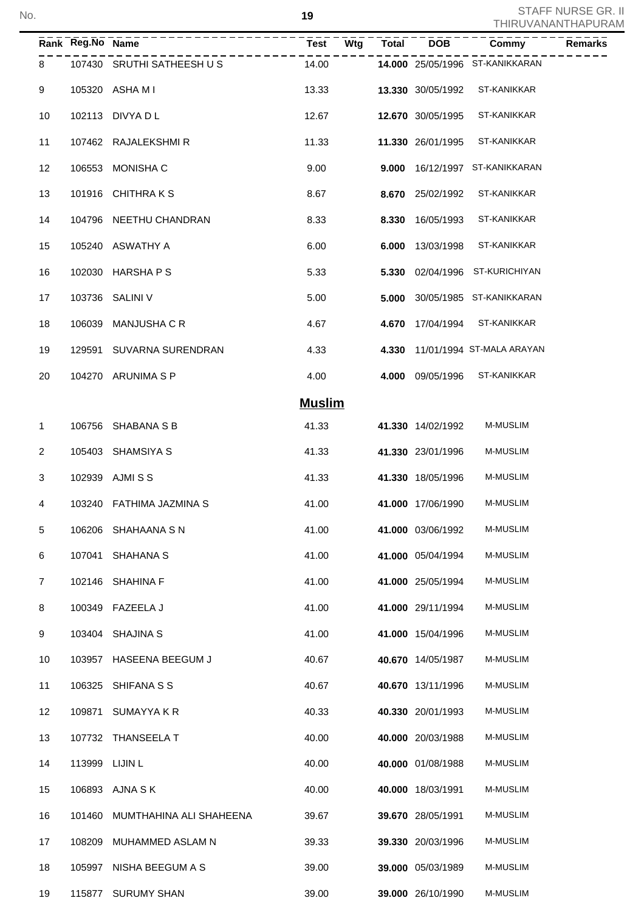|                | Rank Reg.No Name |                           | <b>Wtg</b><br><b>Test</b> | <b>Total</b> | <b>DOB</b>        | Commy                           | Remarks |
|----------------|------------------|---------------------------|---------------------------|--------------|-------------------|---------------------------------|---------|
| 8              |                  | 107430 SRUTHI SATHEESH US | 14.00                     |              |                   | 14.000 25/05/1996 ST-KANIKKARAN |         |
| 9              |                  | 105320 ASHA M I           | 13.33                     |              | 13.330 30/05/1992 | ST-KANIKKAR                     |         |
| 10             |                  | 102113 DIVYA D L          | 12.67                     |              | 12.670 30/05/1995 | ST-KANIKKAR                     |         |
| 11             |                  | 107462 RAJALEKSHMIR       | 11.33                     |              | 11.330 26/01/1995 | ST-KANIKKAR                     |         |
| 12             |                  | 106553 MONISHA C          | 9.00                      |              |                   | 9.000 16/12/1997 ST-KANIKKARAN  |         |
| 13             |                  | 101916 CHITHRAKS          | 8.67                      |              | 8.670 25/02/1992  | ST-KANIKKAR                     |         |
| 14             |                  | 104796 NEETHU CHANDRAN    | 8.33                      |              | 8.330 16/05/1993  | ST-KANIKKAR                     |         |
| 15             |                  | 105240 ASWATHY A          | 6.00                      | 6.000        | 13/03/1998        | ST-KANIKKAR                     |         |
| 16             |                  | 102030 HARSHA P S         | 5.33                      |              |                   | 5.330 02/04/1996 ST-KURICHIYAN  |         |
| 17             |                  | 103736 SALINI V           | 5.00                      | 5.000        |                   | 30/05/1985 ST-KANIKKARAN        |         |
| 18             |                  | 106039 MANJUSHA C R       | 4.67                      |              | 4.670 17/04/1994  | ST-KANIKKAR                     |         |
| 19             |                  | 129591 SUVARNA SURENDRAN  | 4.33                      |              |                   | 4.330 11/01/1994 ST-MALA ARAYAN |         |
| 20             |                  | 104270 ARUNIMA S P        | 4.00                      |              | 4.000 09/05/1996  | ST-KANIKKAR                     |         |
|                |                  |                           | <b>Muslim</b>             |              |                   |                                 |         |
| 1              |                  | 106756 SHABANA S B        | 41.33                     |              | 41.330 14/02/1992 | <b>M-MUSLIM</b>                 |         |
| $\overline{2}$ |                  | 105403 SHAMSIYA S         | 41.33                     |              | 41.330 23/01/1996 | <b>M-MUSLIM</b>                 |         |
| 3              |                  | 102939 AJMISS             | 41.33                     |              | 41.330 18/05/1996 | <b>M-MUSLIM</b>                 |         |
| 4              |                  | 103240 FATHIMA JAZMINA S  | 41.00                     |              | 41.000 17/06/1990 | <b>M-MUSLIM</b>                 |         |
| 5              |                  | 106206 SHAHAANA S N       | 41.00                     |              | 41.000 03/06/1992 | M-MUSLIM                        |         |
| 6              | 107041           | SHAHANA S                 | 41.00                     |              | 41.000 05/04/1994 | M-MUSLIM                        |         |
| $\overline{7}$ | 102146           | <b>SHAHINA F</b>          | 41.00                     |              | 41.000 25/05/1994 | M-MUSLIM                        |         |
| 8              | 100349           | FAZEELA J                 | 41.00                     |              | 41.000 29/11/1994 | M-MUSLIM                        |         |
| 9              | 103404           | <b>SHAJINA S</b>          | 41.00                     |              | 41.000 15/04/1996 | M-MUSLIM                        |         |
| 10             | 103957           | HASEENA BEEGUM J          | 40.67                     |              | 40.670 14/05/1987 | M-MUSLIM                        |         |
| 11             | 106325           | SHIFANA S S               | 40.67                     |              | 40.670 13/11/1996 | M-MUSLIM                        |         |
| 12             | 109871           | <b>SUMAYYAKR</b>          | 40.33                     |              | 40.330 20/01/1993 | M-MUSLIM                        |         |
| 13             |                  | 107732 THANSEELA T        | 40.00                     |              | 40.000 20/03/1988 | M-MUSLIM                        |         |
| 14             |                  | 113999 LIJIN L            | 40.00                     |              | 40.000 01/08/1988 | M-MUSLIM                        |         |
| 15             |                  | 106893 AJNA SK            | 40.00                     |              | 40.000 18/03/1991 | M-MUSLIM                        |         |
| 16             | 101460           | MUMTHAHINA ALI SHAHEENA   | 39.67                     |              | 39.670 28/05/1991 | M-MUSLIM                        |         |
| 17             | 108209           | MUHAMMED ASLAM N          | 39.33                     |              | 39.330 20/03/1996 | M-MUSLIM                        |         |
| 18             | 105997           | NISHA BEEGUM A S          | 39.00                     |              | 39.000 05/03/1989 | M-MUSLIM                        |         |
| 19             |                  | 115877 SURUMY SHAN        | 39.00                     |              | 39.000 26/10/1990 | M-MUSLIM                        |         |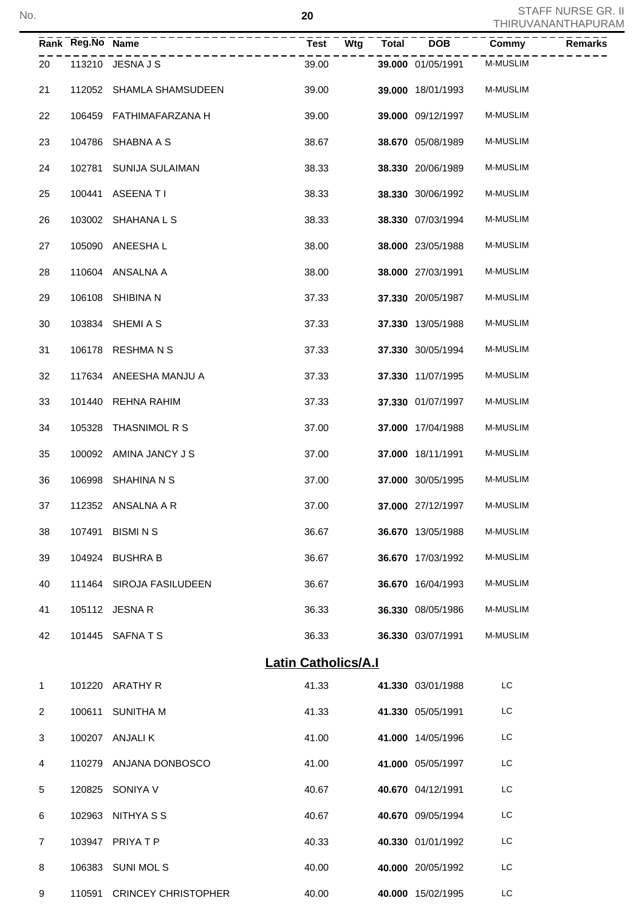No. L

|                |                  |                            |                            |              |                   |                 | <u>I HIRUVANAN I HAPURA</u> |
|----------------|------------------|----------------------------|----------------------------|--------------|-------------------|-----------------|-----------------------------|
|                | Rank Reg.No Name |                            | <b>Test</b><br>Wtg         | <b>Total</b> | <b>DOB</b>        | Commy           | Remarks                     |
| 20             |                  | 113210 JESNA J S           | 39.00                      |              | 39.000 01/05/1991 | <b>M-MUSLIM</b> |                             |
| 21             | 112052           | SHAMLA SHAMSUDEEN          | 39.00                      |              | 39.000 18/01/1993 | <b>M-MUSLIM</b> |                             |
| 22             | 106459           | FATHIMAFARZANA H           | 39.00                      |              | 39.000 09/12/1997 | <b>M-MUSLIM</b> |                             |
| 23             | 104786           | SHABNA A S                 | 38.67                      |              | 38.670 05/08/1989 | <b>M-MUSLIM</b> |                             |
| 24             | 102781           | SUNIJA SULAIMAN            | 38.33                      |              | 38.330 20/06/1989 | <b>M-MUSLIM</b> |                             |
| 25             | 100441           | <b>ASEENATI</b>            | 38.33                      |              | 38.330 30/06/1992 | M-MUSLIM        |                             |
| 26             | 103002           | SHAHANA L S                | 38.33                      |              | 38.330 07/03/1994 | <b>M-MUSLIM</b> |                             |
| 27             | 105090           | ANEESHA L                  | 38.00                      |              | 38.000 23/05/1988 | M-MUSLIM        |                             |
| 28             |                  | 110604 ANSALNA A           | 38.00                      |              | 38.000 27/03/1991 | <b>M-MUSLIM</b> |                             |
| 29             | 106108           | SHIBINA N                  | 37.33                      |              | 37.330 20/05/1987 | <b>M-MUSLIM</b> |                             |
| 30             | 103834           | SHEMI A S                  | 37.33                      |              | 37.330 13/05/1988 | M-MUSLIM        |                             |
| 31             | 106178           | <b>RESHMANS</b>            | 37.33                      |              | 37.330 30/05/1994 | <b>M-MUSLIM</b> |                             |
| 32             |                  | 117634 ANEESHA MANJU A     | 37.33                      |              | 37.330 11/07/1995 | M-MUSLIM        |                             |
| 33             | 101440           | REHNA RAHIM                | 37.33                      |              | 37.330 01/07/1997 | <b>M-MUSLIM</b> |                             |
| 34             | 105328           | THASNIMOL R S              | 37.00                      |              | 37.000 17/04/1988 | <b>M-MUSLIM</b> |                             |
| 35             |                  | 100092 AMINA JANCY JS      | 37.00                      |              | 37.000 18/11/1991 | <b>M-MUSLIM</b> |                             |
| 36             | 106998           | SHAHINA N S                | 37.00                      |              | 37.000 30/05/1995 | <b>M-MUSLIM</b> |                             |
| 37             |                  | 112352 ANSALNA A R         | 37.00                      |              | 37.000 27/12/1997 | M-MUSLIM        |                             |
| 38             |                  | 107491 BISMINS             | 36.67                      |              | 36.670 13/05/1988 | M-MUSLIM        |                             |
| 39             |                  | 104924 BUSHRA B            | 36.67                      |              | 36.670 17/03/1992 | M-MUSLIM        |                             |
| 40             |                  | 111464 SIROJA FASILUDEEN   | 36.67                      |              | 36.670 16/04/1993 | M-MUSLIM        |                             |
| 41             |                  | 105112 JESNA R             | 36.33                      |              | 36.330 08/05/1986 | M-MUSLIM        |                             |
| 42             |                  | 101445 SAFNATS             | 36.33                      |              | 36.330 03/07/1991 | M-MUSLIM        |                             |
|                |                  |                            | <b>Latin Catholics/A.I</b> |              |                   |                 |                             |
| $\mathbf 1$    |                  | 101220 ARATHY R            | 41.33                      |              | 41.330 03/01/1988 | LC              |                             |
| 2              |                  | 100611 SUNITHA M           | 41.33                      |              | 41.330 05/05/1991 | LC              |                             |
| 3              |                  | 100207 ANJALIK             | 41.00                      |              | 41.000 14/05/1996 | LC              |                             |
| 4              |                  | 110279 ANJANA DONBOSCO     | 41.00                      |              | 41.000 05/05/1997 | LC              |                             |
| 5              |                  | 120825 SONIYA V            | 40.67                      |              | 40.670 04/12/1991 | LC              |                             |
| 6              |                  | 102963 NITHYA S S          | 40.67                      |              | 40.670 09/05/1994 | LC              |                             |
| $\overline{7}$ |                  | 103947 PRIYATP             | 40.33                      |              | 40.330 01/01/1992 | LC              |                             |
| 8              |                  | 106383 SUNI MOL S          | 40.00                      |              | 40.000 20/05/1992 | LC              |                             |
| 9              |                  | 110591 CRINCEY CHRISTOPHER | 40.00                      |              | 40.000 15/02/1995 | LC              |                             |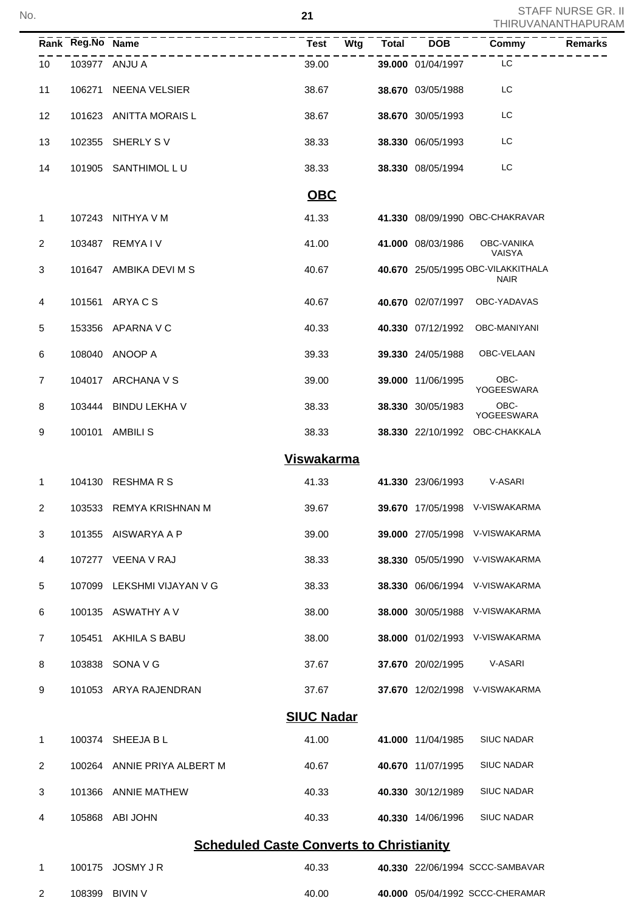|                | Rank Reg.No Name | ---------------                                 | <b>Test</b><br>Wtg | <b>Total</b> | <b>DOB</b>        | Commy                                             | <b>Remarks</b> |
|----------------|------------------|-------------------------------------------------|--------------------|--------------|-------------------|---------------------------------------------------|----------------|
| 10             |                  | 103977 ANJU A                                   | 39.00              |              | 39.000 01/04/1997 | LC                                                |                |
| 11             |                  | 106271 NEENA VELSIER                            | 38.67              |              | 38.670 03/05/1988 | LC                                                |                |
| 12             |                  | 101623 ANITTA MORAIS L                          | 38.67              |              | 38.670 30/05/1993 | LC                                                |                |
| 13             |                  | 102355 SHERLY S V                               | 38.33              |              | 38.330 06/05/1993 | LC                                                |                |
| 14             |                  | 101905 SANTHIMOL LU                             | 38.33              |              | 38.330 08/05/1994 | LC                                                |                |
|                |                  |                                                 | <b>OBC</b>         |              |                   |                                                   |                |
| 1.             |                  | 107243 NITHYA V M                               | 41.33              |              |                   | 41.330 08/09/1990 OBC-CHAKRAVAR                   |                |
| $\overline{2}$ |                  | 103487 REMYAIV                                  | 41.00              |              | 41.000 08/03/1986 | OBC-VANIKA<br>VAISYA                              |                |
| 3              |                  | 101647 AMBIKA DEVI M S                          | 40.67              |              |                   | 40.670 25/05/1995 OBC-VILAKKITHALA<br><b>NAIR</b> |                |
| 4              |                  | 101561 ARYACS                                   | 40.67              |              |                   | 40.670 02/07/1997 OBC-YADAVAS                     |                |
| 5              |                  | 153356 APARNA V C                               | 40.33              |              |                   | 40.330 07/12/1992 OBC-MANIYANI                    |                |
| 6              |                  | 108040 ANOOP A                                  | 39.33              |              | 39.330 24/05/1988 | OBC-VELAAN                                        |                |
| $\overline{7}$ |                  | 104017 ARCHANA V S                              | 39.00              |              | 39.000 11/06/1995 | OBC-<br>YOGEESWARA                                |                |
| 8              |                  | 103444 BINDU LEKHA V                            | 38.33              |              | 38.330 30/05/1983 | OBC-<br>YOGEESWARA                                |                |
| 9              |                  | 100101 AMBILIS                                  | 38.33              |              |                   | 38.330 22/10/1992 OBC-CHAKKALA                    |                |
|                |                  |                                                 | <b>Viswakarma</b>  |              |                   |                                                   |                |
| 1.             |                  | 104130 RESHMARS                                 | 41.33              |              | 41.330 23/06/1993 | V-ASARI                                           |                |
| 2              |                  | 103533 REMYA KRISHNAN M                         | 39.67              |              |                   | 39.670 17/05/1998 V-VISWAKARMA                    |                |
| 3              |                  | 101355 AISWARYA A P                             | 39.00              |              |                   | 39.000 27/05/1998 V-VISWAKARMA                    |                |
| 4              |                  | 107277 VEENA V RAJ                              | 38.33              |              |                   | 38.330 05/05/1990 V-VISWAKARMA                    |                |
| 5              |                  | 107099 LEKSHMI VIJAYAN V G                      | 38.33              |              |                   | 38.330 06/06/1994 V-VISWAKARMA                    |                |
| 6              |                  | 100135 ASWATHY A V                              | 38.00              |              |                   | 38.000 30/05/1988 V-VISWAKARMA                    |                |
| $\overline{7}$ |                  | 105451 AKHILA S BABU                            | 38.00              |              |                   | 38.000 01/02/1993 V-VISWAKARMA                    |                |
| 8              |                  | 103838 SONA V G                                 | 37.67              |              | 37.670 20/02/1995 | V-ASARI                                           |                |
| 9              |                  | 101053 ARYA RAJENDRAN                           | 37.67              |              |                   | 37.670 12/02/1998 V-VISWAKARMA                    |                |
|                |                  |                                                 | <b>SIUC Nadar</b>  |              |                   |                                                   |                |
| 1              |                  | 100374 SHEEJA B L                               | 41.00              |              | 41.000 11/04/1985 | <b>SIUC NADAR</b>                                 |                |
| $\overline{2}$ |                  | 100264 ANNIE PRIYA ALBERT M                     | 40.67              |              | 40.670 11/07/1995 | <b>SIUC NADAR</b>                                 |                |
| 3              |                  | 101366 ANNIE MATHEW                             | 40.33              |              | 40.330 30/12/1989 | <b>SIUC NADAR</b>                                 |                |
| 4              |                  | 105868 ABI JOHN                                 | 40.33              |              | 40.330 14/06/1996 | <b>SIUC NADAR</b>                                 |                |
|                |                  | <b>Scheduled Caste Converts to Christianity</b> |                    |              |                   |                                                   |                |
| 1              |                  | 100175 JOSMY J R                                | 40.33              |              |                   | 40.330 22/06/1994 SCCC-SAMBAVAR                   |                |
| $\overline{2}$ |                  | 108399 BIVIN V                                  | 40.00              |              |                   | 40.000 05/04/1992 SCCC-CHERAMAR                   |                |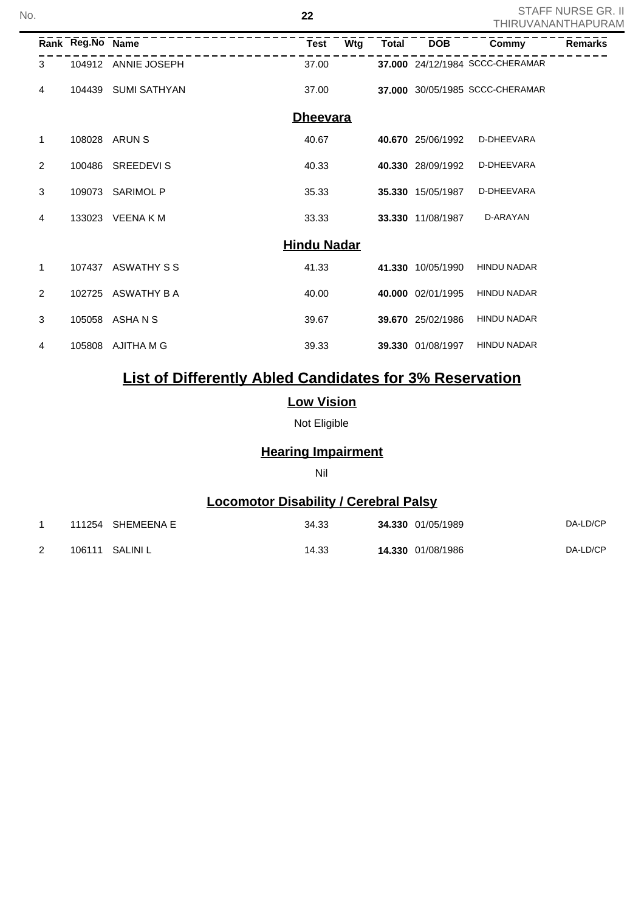|                |                  |                     |                    |     |              |                   | <u>I HIKUVANAN I HAPUK,</u>     |                |
|----------------|------------------|---------------------|--------------------|-----|--------------|-------------------|---------------------------------|----------------|
|                | Rank Reg.No Name |                     | <b>Test</b>        | Wtg | <b>Total</b> | <b>DOB</b>        | Commy                           | <b>Remarks</b> |
| 3              |                  | 104912 ANNIE JOSEPH | 37.00              |     |              |                   | 37.000 24/12/1984 SCCC-CHERAMAR |                |
| 4              | 104439           | <b>SUMI SATHYAN</b> | 37.00              |     |              |                   | 37.000 30/05/1985 SCCC-CHERAMAR |                |
|                |                  |                     | <b>Dheevara</b>    |     |              |                   |                                 |                |
| 1              | 108028           | ARUN S              | 40.67              |     |              | 40.670 25/06/1992 | D-DHEEVARA                      |                |
| $\overline{2}$ | 100486           | <b>SREEDEVIS</b>    | 40.33              |     |              | 40.330 28/09/1992 | D-DHEEVARA                      |                |
| 3              | 109073           | <b>SARIMOL P</b>    | 35.33              |     |              | 35.330 15/05/1987 | D-DHEEVARA                      |                |
| 4              | 133023           | <b>VEENA KM</b>     | 33.33              |     |              | 33.330 11/08/1987 | D-ARAYAN                        |                |
|                |                  |                     | <b>Hindu Nadar</b> |     |              |                   |                                 |                |
| 1              | 107437           | ASWATHY S S         | 41.33              |     |              | 41.330 10/05/1990 | <b>HINDU NADAR</b>              |                |
| 2              | 102725           | ASWATHY B A         | 40.00              |     |              | 40.000 02/01/1995 | <b>HINDU NADAR</b>              |                |
| 3              | 105058           | ASHA N S            | 39.67              |     |              | 39.670 25/02/1986 | <b>HINDU NADAR</b>              |                |
| 4              | 105808           | AJITHA M G          | 39.33              |     |              | 39.330 01/08/1997 | <b>HINDU NADAR</b>              |                |

# **List of Differently Abled Candidates for 3% Reservation**

### **Low Vision**

Not Eligible

### **Hearing Impairment**

#### Nil

### **Locomotor Disability / Cerebral Palsy**

|   | 111254 SHEMEENA E | 34.33 | 34.330 01/05/1989 | DA-LD/CP |
|---|-------------------|-------|-------------------|----------|
| ۷ | 106111 SALINI L   | 14.33 | 14.330 01/08/1986 | DA-LD/CP |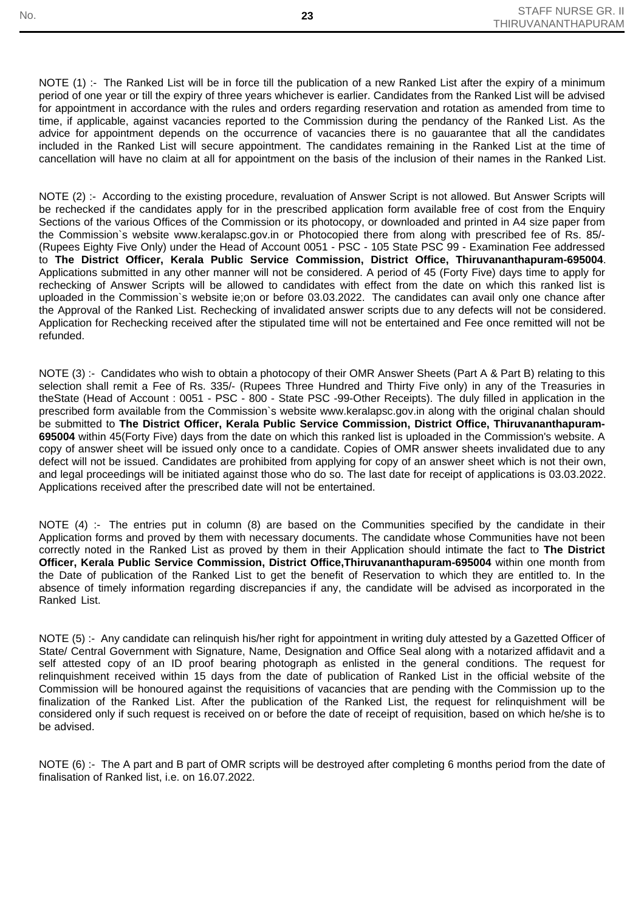NOTE (1) :- The Ranked List will be in force till the publication of a new Ranked List after the expiry of a minimum period of one year or till the expiry of three years whichever is earlier. Candidates from the Ranked List will be advised for appointment in accordance with the rules and orders regarding reservation and rotation as amended from time to time, if applicable, against vacancies reported to the Commission during the pendancy of the Ranked List. As the advice for appointment depends on the occurrence of vacancies there is no gauarantee that all the candidates included in the Ranked List will secure appointment. The candidates remaining in the Ranked List at the time of cancellation will have no claim at all for appointment on the basis of the inclusion of their names in the Ranked List.

NOTE (2) :- According to the existing procedure, revaluation of Answer Script is not allowed. But Answer Scripts will be rechecked if the candidates apply for in the prescribed application form available free of cost from the Enquiry Sections of the various Offices of the Commission or its photocopy, or downloaded and printed in A4 size paper from the Commission`s website www.keralapsc.gov.in or Photocopied there from along with prescribed fee of Rs. 85/- (Rupees Eighty Five Only) under the Head of Account 0051 - PSC - 105 State PSC 99 - Examination Fee addressed to **The District Officer, Kerala Public Service Commission, District Office, Thiruvananthapuram-695004**. Applications submitted in any other manner will not be considered. A period of 45 (Forty Five) days time to apply for rechecking of Answer Scripts will be allowed to candidates with effect from the date on which this ranked list is uploaded in the Commission`s website ie;on or before 03.03.2022. The candidates can avail only one chance after the Approval of the Ranked List. Rechecking of invalidated answer scripts due to any defects will not be considered. Application for Rechecking received after the stipulated time will not be entertained and Fee once remitted will not be refunded.

NOTE (3) :- Candidates who wish to obtain a photocopy of their OMR Answer Sheets (Part A & Part B) relating to this selection shall remit a Fee of Rs. 335/- (Rupees Three Hundred and Thirty Five only) in any of the Treasuries in theState (Head of Account : 0051 - PSC - 800 - State PSC -99-Other Receipts). The duly filled in application in the prescribed form available from the Commission`s website www.keralapsc.gov.in along with the original chalan should be submitted to **The District Officer, Kerala Public Service Commission, District Office, Thiruvananthapuram-695004** within 45(Forty Five) days from the date on which this ranked list is uploaded in the Commission's website. A copy of answer sheet will be issued only once to a candidate. Copies of OMR answer sheets invalidated due to any defect will not be issued. Candidates are prohibited from applying for copy of an answer sheet which is not their own, and legal proceedings will be initiated against those who do so. The last date for receipt of applications is 03.03.2022. Applications received after the prescribed date will not be entertained.

NOTE (4) :- The entries put in column (8) are based on the Communities specified by the candidate in their Application forms and proved by them with necessary documents. The candidate whose Communities have not been correctly noted in the Ranked List as proved by them in their Application should intimate the fact to **The District Officer, Kerala Public Service Commission, District Office,Thiruvananthapuram-695004** within one month from the Date of publication of the Ranked List to get the benefit of Reservation to which they are entitled to. In the absence of timely information regarding discrepancies if any, the candidate will be advised as incorporated in the Ranked List.

NOTE (5) :- Any candidate can relinquish his/her right for appointment in writing duly attested by a Gazetted Officer of State/ Central Government with Signature, Name, Designation and Office Seal along with a notarized affidavit and a self attested copy of an ID proof bearing photograph as enlisted in the general conditions. The request for relinquishment received within 15 days from the date of publication of Ranked List in the official website of the Commission will be honoured against the requisitions of vacancies that are pending with the Commission up to the finalization of the Ranked List. After the publication of the Ranked List, the request for relinquishment will be considered only if such request is received on or before the date of receipt of requisition, based on which he/she is to be advised.

NOTE (6) :- The A part and B part of OMR scripts will be destroyed after completing 6 months period from the date of finalisation of Ranked list, i.e. on 16.07.2022.